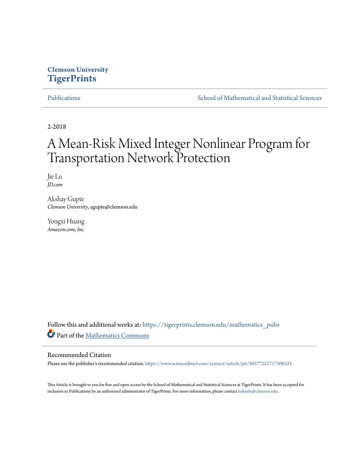# **Clemson University [TigerPrints](https://tigerprints.clemson.edu?utm_source=tigerprints.clemson.edu%2Fmathematics_pubs%2F15&utm_medium=PDF&utm_campaign=PDFCoverPages)**

[Publications](https://tigerprints.clemson.edu/mathematics_pubs?utm_source=tigerprints.clemson.edu%2Fmathematics_pubs%2F15&utm_medium=PDF&utm_campaign=PDFCoverPages) [School of Mathematical and Statistical Sciences](https://tigerprints.clemson.edu/mathematics?utm_source=tigerprints.clemson.edu%2Fmathematics_pubs%2F15&utm_medium=PDF&utm_campaign=PDFCoverPages)

2-2018

# A Mean-Risk Mixed Integer Nonlinear Program for Transportation Network Protection

Jie Lu *JD.com*

Akshay Gupte *Clemson University*, agupte@clemson.edu

Yongxi Huang *Amazon.com, Inc.*

Follow this and additional works at: [https://tigerprints.clemson.edu/mathematics\\_pubs](https://tigerprints.clemson.edu/mathematics_pubs?utm_source=tigerprints.clemson.edu%2Fmathematics_pubs%2F15&utm_medium=PDF&utm_campaign=PDFCoverPages) Part of the [Mathematics Commons](http://network.bepress.com/hgg/discipline/174?utm_source=tigerprints.clemson.edu%2Fmathematics_pubs%2F15&utm_medium=PDF&utm_campaign=PDFCoverPages)

### Recommended Citation

Please use the publisher's recommended citation. <https://www.sciencedirect.com/science/article/pii/S0377221717306525>

This Article is brought to you for free and open access by the School of Mathematical and Statistical Sciences at TigerPrints. It has been accepted for inclusion in Publications by an authorized administrator of TigerPrints. For more information, please contact [kokeefe@clemson.edu.](mailto:kokeefe@clemson.edu)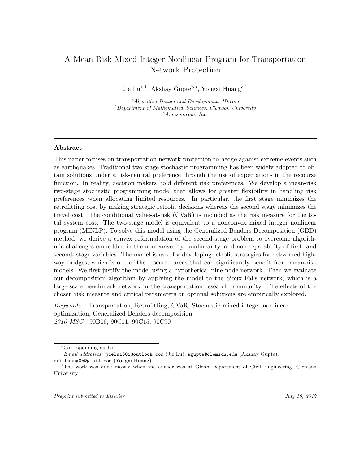# A Mean-Risk Mixed Integer Nonlinear Program for Transportation Network Protection

Jie Lu<sup>a,1</sup>, Akshay Gupte<sup>b,∗</sup>, Yongxi Huang<sup>c,1</sup>

<sup>a</sup>Algorithm Design and Development, JD.com  $b$ Department of Mathematical Sciences, Clemson University  $c_{Amaxon.com, Inc.}$ 

#### Abstract

This paper focuses on transportation network protection to hedge against extreme events such as earthquakes. Traditional two-stage stochastic programming has been widely adopted to obtain solutions under a risk-neutral preference through the use of expectations in the recourse function. In reality, decision makers hold different risk preferences. We develop a mean-risk two-stage stochastic programming model that allows for greater flexibility in handling risk preferences when allocating limited resources. In particular, the first stage minimizes the retrofitting cost by making strategic retrofit decisions whereas the second stage minimizes the travel cost. The conditional value-at-risk (CVaR) is included as the risk measure for the total system cost. The two-stage model is equivalent to a nonconvex mixed integer nonlinear program (MINLP). To solve this model using the Generalized Benders Decomposition (GBD) method, we derive a convex reformulation of the second-stage problem to overcome algorithmic challenges embedded in the non-convexity, nonlinearity, and non-separability of first- and second- stage variables. The model is used for developing retrofit strategies for networked highway bridges, which is one of the research areas that can significantly benefit from mean-risk models. We first justify the model using a hypothetical nine-node network. Then we evaluate our decomposition algorithm by applying the model to the Sioux Falls network, which is a large-scale benchmark network in the transportation research community. The effects of the chosen risk measure and critical parameters on optimal solutions are empirically explored.

Keywords: Transportation, Retrofitting, CVaR, Stochastic mixed integer nonlinear optimization, Generalized Benders decomposition 2010 MSC: 90B06, 90C11, 90C15, 90C90

<sup>∗</sup>Corresponding author

Email addresses: jielu1301@outlook.com (Jie Lu), agupte@clemson.edu (Akshay Gupte), erichuang05@gmail.com (Yongxi Huang)

<sup>&</sup>lt;sup>1</sup>The work was done mostly when the author was at Glenn Department of Civil Engineering, Clemson University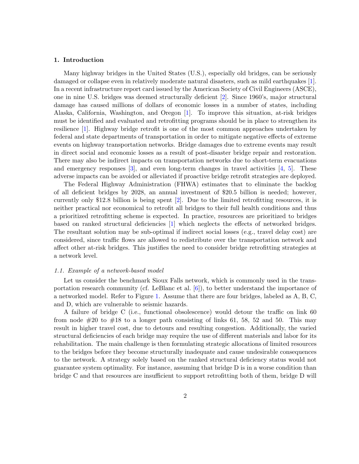#### 1. Introduction

Many highway bridges in the United States (U.S.), especially old bridges, can be seriously damaged or collapse even in relatively moderate natural disasters, such as mild earthquakes [\[1\]](#page-28-0). In a recent infrastructure report card issued by the American Society of Civil Engineers (ASCE), one in nine U.S. bridges was deemed structurally deficient [\[2\]](#page-28-1). Since 1960's, major structural damage has caused millions of dollars of economic losses in a number of states, including Alaska, California, Washington, and Oregon [\[1\]](#page-28-0). To improve this situation, at-risk bridges must be identified and evaluated and retrofitting programs should be in place to strengthen its resilience [\[1\]](#page-28-0). Highway bridge retrofit is one of the most common approaches undertaken by federal and state departments of transportation in order to mitigate negative effects of extreme events on highway transportation networks. Bridge damages due to extreme events may result in direct social and economic losses as a result of post-disaster bridge repair and restoration. There may also be indirect impacts on transportation networks due to short-term evacuations and emergency responses  $[3]$ , and even long-term changes in travel activities  $[4, 5]$  $[4, 5]$  $[4, 5]$ . These adverse impacts can be avoided or alleviated if proactive bridge retrofit strategies are deployed.

The Federal Highway Administration (FHWA) estimates that to eliminate the backlog of all deficient bridges by 2028, an annual investment of \$20.5 billion is needed; however, currently only \$12.8 billion is being spent [\[2\]](#page-28-1). Due to the limited retrofitting resources, it is neither practical nor economical to retrofit all bridges to their full health conditions and thus a prioritized retrofitting scheme is expected. In practice, resources are prioritized to bridges based on ranked structural deficiencies [\[1\]](#page-28-0) which neglects the effects of networked bridges. The resultant solution may be sub-optimal if indirect social losses (e.g., travel delay cost) are considered, since traffic flows are allowed to redistribute over the transportation network and affect other at-risk bridges. This justifies the need to consider bridge retrofitting strategies at a network level.

#### 1.1. Example of a network-based model

Let us consider the benchmark Sioux Falls network, which is commonly used in the transportation research community (cf. LeBlanc et al. [\[6\]](#page-28-5)), to better understand the importance of a networked model. Refer to Figure [1.](#page-3-0) Assume that there are four bridges, labeled as A, B, C, and D, which are vulnerable to seismic hazards.

A failure of bridge C (i.e., functional obsolescence) would detour the traffic on link 60 from node  $\#20$  to  $\#18$  to a longer path consisting of links 61, 58, 52 and 50. This may result in higher travel cost, due to detours and resulting congestion. Additionally, the varied structural deficiencies of each bridge may require the use of different materials and labor for its rehabilitation. The main challenge is then formulating strategic allocations of limited resources to the bridges before they become structurally inadequate and cause undesirable consequences to the network. A strategy solely based on the ranked structural deficiency status would not guarantee system optimality. For instance, assuming that bridge D is in a worse condition than bridge C and that resources are insufficient to support retrofitting both of them, bridge D will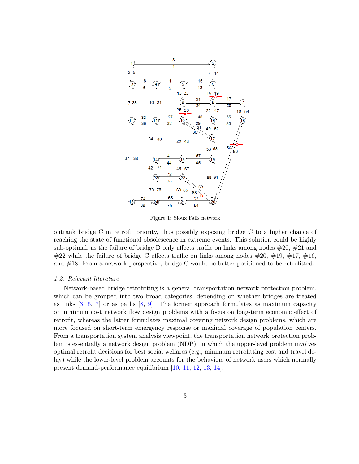<span id="page-3-0"></span>

Figure 1: Sioux Falls network

outrank bridge C in retrofit priority, thus possibly exposing bridge C to a higher chance of reaching the state of functional obsolescence in extreme events. This solution could be highly sub-optimal, as the failure of bridge D only affects traffic on links among nodes  $\#20, \#21$  and #22 while the failure of bridge C affects traffic on links among nodes #20, #19, #17, #16, and #18. From a network perspective, bridge C would be better positioned to be retrofitted.

#### 1.2. Relevant literature

Network-based bridge retrofitting is a general transportation network protection problem, which can be grouped into two broad categories, depending on whether bridges are treated as links  $[3, 5, 7]$  $[3, 5, 7]$  $[3, 5, 7]$  $[3, 5, 7]$  $[3, 5, 7]$  or as paths  $[8, 9]$  $[8, 9]$  $[8, 9]$ . The former approach formulates as maximum capacity or minimum cost network flow design problems with a focus on long-term economic effect of retrofit, whereas the latter formulates maximal covering network design problems, which are more focused on short-term emergency response or maximal coverage of population centers. From a transportation system analysis viewpoint, the transportation network protection problem is essentially a network design problem (NDP), in which the upper-level problem involves optimal retrofit decisions for best social welfares (e.g., minimum retrofitting cost and travel delay) while the lower-level problem accounts for the behaviors of network users which normally present demand-performance equilibrium [\[10,](#page-28-9) [11,](#page-28-10) [12,](#page-28-11) [13,](#page-29-0) [14\]](#page-29-1).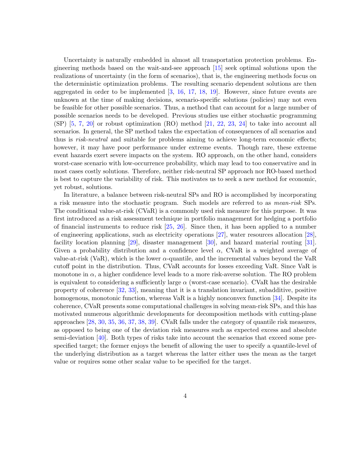Uncertainty is naturally embedded in almost all transportation protection problems. Engineering methods based on the wait-and-see approach [\[15\]](#page-29-2) seek optimal solutions upon the realizations of uncertainty (in the form of scenarios), that is, the engineering methods focus on the deterministic optimization problems. The resulting scenario dependent solutions are then aggregated in order to be implemented  $[3, 16, 17, 18, 19]$  $[3, 16, 17, 18, 19]$  $[3, 16, 17, 18, 19]$  $[3, 16, 17, 18, 19]$  $[3, 16, 17, 18, 19]$  $[3, 16, 17, 18, 19]$  $[3, 16, 17, 18, 19]$  $[3, 16, 17, 18, 19]$  $[3, 16, 17, 18, 19]$ . However, since future events are unknown at the time of making decisions, scenario-specific solutions (policies) may not even be feasible for other possible scenarios. Thus, a method that can account for a large number of possible scenarios needs to be developed. Previous studies use either stochastic programming  $(SP)$  [\[5,](#page-28-4) [7,](#page-28-6) [20\]](#page-29-7) or robust optimization  $(RO)$  method [\[21,](#page-29-8) [22,](#page-29-9) [23,](#page-29-10) [24\]](#page-29-11) to take into account all scenarios. In general, the SP method takes the expectation of consequences of all scenarios and thus is *risk-neutral* and suitable for problems aiming to achieve long-term economic effects; however, it may have poor performance under extreme events. Though rare, these extreme event hazards exert severe impacts on the system. RO approach, on the other hand, considers worst-case scenario with low-occurrence probability, which may lead to too conservative and in most cases costly solutions. Therefore, neither risk-neutral SP approach nor RO-based method is best to capture the variability of risk. This motivates us to seek a new method for economic, yet robust, solutions.

In literature, a balance between risk-neutral SPs and RO is accomplished by incorporating a risk measure into the stochastic program. Such models are referred to as mean-risk SPs. The conditional value-at-risk (CVaR) is a commonly used risk measure for this purpose. It was first introduced as a risk assessment technique in portfolio management for hedging a portfolio of financial instruments to reduce risk  $[25, 26]$  $[25, 26]$  $[25, 26]$ . Since then, it has been applied to a number of engineering applications, such as electricity operations [\[27\]](#page-30-1), water resources allocation [\[28\]](#page-30-2), facility location planning [\[29\]](#page-30-3), disaster management [\[30\]](#page-30-4), and hazard material routing [\[31\]](#page-30-5). Given a probability distribution and a confidence level  $\alpha$ , CVaR is a weighted average of value-at-risk (VaR), which is the lower  $\alpha$ -quantile, and the incremental values beyond the VaR cutoff point in the distribution. Thus, CVaR accounts for losses exceeding VaR. Since VaR is monotone in  $\alpha$ , a higher confidence level leads to a more risk-averse solution. The RO problem is equivalent to considering a sufficiently large  $\alpha$  (worst-case scenario). CVaR has the desirable property of coherence [\[32,](#page-30-6) [33\]](#page-30-7), meaning that it is a translation invariant, subadditive, positive homogenous, monotonic function, whereas VaR is a highly nonconvex function [\[34\]](#page-30-8). Despite its coherence, CVaR presents some computational challenges in solving mean-risk SPs, and this has motivated numerous algorithmic developments for decomposition methods with cutting-plane approaches [\[28,](#page-30-2) [30,](#page-30-4) [35,](#page-30-9) [36,](#page-30-10) [37,](#page-30-11) [38,](#page-30-12) [39\]](#page-31-0). CVaR falls under the category of quantile risk measures, as opposed to being one of the deviation risk measures such as expected excess and absolute semi-deviation [\[40\]](#page-31-1). Both types of risks take into account the scenarios that exceed some prespecified target; the former enjoys the benefit of allowing the user to specify a quantile-level of the underlying distribution as a target whereas the latter either uses the mean as the target value or requires some other scalar value to be specified for the target.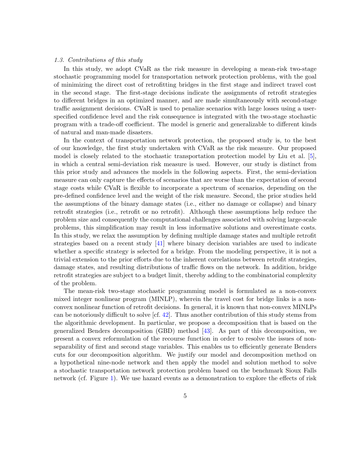#### 1.3. Contributions of this study

In this study, we adopt CVaR as the risk measure in developing a mean-risk two-stage stochastic programming model for transportation network protection problems, with the goal of minimizing the direct cost of retrofitting bridges in the first stage and indirect travel cost in the second stage. The first-stage decisions indicate the assignments of retrofit strategies to different bridges in an optimized manner, and are made simultaneously with second-stage traffic assignment decisions. CVaR is used to penalize scenarios with large losses using a userspecified confidence level and the risk consequence is integrated with the two-stage stochastic program with a trade-off coefficient. The model is generic and generalizable to different kinds of natural and man-made disasters.

In the context of transportation network protection, the proposed study is, to the best of our knowledge, the first study undertaken with CVaR as the risk measure. Our proposed model is closely related to the stochastic transportation protection model by Liu et al. [\[5\]](#page-28-4), in which a central semi-deviation risk measure is used. However, our study is distinct from this prior study and advances the models in the following aspects. First, the semi-deviation measure can only capture the effects of scenarios that are worse than the expectation of second stage costs while CVaR is flexible to incorporate a spectrum of scenarios, depending on the pre-defined confidence level and the weight of the risk measure. Second, the prior studies held the assumptions of the binary damage states (i.e., either no damage or collapse) and binary retrofit strategies (i.e., retrofit or no retrofit). Although these assumptions help reduce the problem size and consequently the computational challenges associated with solving large-scale problems, this simplification may result in less informative solutions and overestimate costs. In this study, we relax the assumption by defining multiple damage states and multiple retrofit strategies based on a recent study [\[41\]](#page-31-2) where binary decision variables are used to indicate whether a specific strategy is selected for a bridge. From the modeling perspective, it is not a trivial extension to the prior efforts due to the inherent correlations between retrofit strategies, damage states, and resulting distributions of traffic flows on the network. In addition, bridge retrofit strategies are subject to a budget limit, thereby adding to the combinatorial complexity of the problem.

The mean-risk two-stage stochastic programming model is formulated as a non-convex mixed integer nonlinear program (MINLP), wherein the travel cost for bridge links is a nonconvex nonlinear function of retrofit decisions. In general, it is known that non-convex MINLPs can be notoriously difficult to solve [cf. [42\]](#page-31-3). Thus another contribution of this study stems from the algorithmic development. In particular, we propose a decomposition that is based on the generalized Benders decomposition (GBD) method [\[43\]](#page-31-4). As part of this decomposition, we present a convex reformulation of the recourse function in order to resolve the issues of nonseparability of first and second stage variables. This enables us to efficiently generate Benders cuts for our decomposition algorithm. We justify our model and decomposition method on a hypothetical nine-node network and then apply the model and solution method to solve a stochastic transportation network protection problem based on the benchmark Sioux Falls network (cf. Figure [1\)](#page-3-0). We use hazard events as a demonstration to explore the effects of risk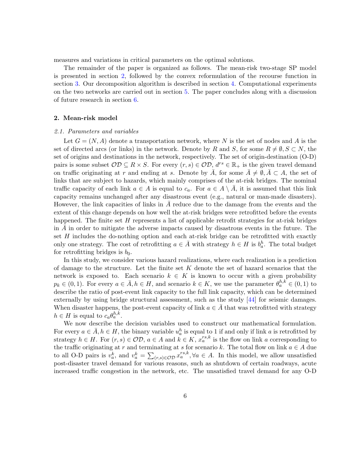measures and variations in critical parameters on the optimal solutions.

The remainder of the paper is organized as follows. The mean-risk two-stage SP model is presented in section [2,](#page-6-0) followed by the convex reformulation of the recourse function in section [3.](#page-10-0) Our decomposition algorithm is described in section [4.](#page-15-0) Computational experiments on the two networks are carried out in section [5.](#page-18-0) The paper concludes along with a discussion of future research in section [6.](#page-24-0)

#### <span id="page-6-0"></span>2. Mean-risk model

#### 2.1. Parameters and variables

Let  $G = (N, A)$  denote a transportation network, where N is the set of nodes and A is the set of directed arcs (or links) in the network. Denote by R and S, for some  $R \neq \emptyset$ ,  $S \subset N$ , the set of origins and destinations in the network, respectively. The set of origin-destination (O-D) pairs is some subset  $\mathcal{OD} \subseteq R \times S$ . For every  $(r, s) \in \mathcal{OD}, d^{rs} \in \mathbb{R}_+$  is the given travel demand on traffic originating at r and ending at s. Denote by  $\overline{A}$ , for some  $\overline{A} \neq \emptyset, \overline{A} \subset A$ , the set of links that are subject to hazards, which mainly comprises of the at-risk bridges. The nominal traffic capacity of each link  $a \in A$  is equal to  $c_a$ . For  $a \in A \setminus \overline{A}$ , it is assumed that this link capacity remains unchanged after any disastrous event (e.g., natural or man-made disasters). However, the link capacities of links in  $A$  reduce due to the damage from the events and the extent of this change depends on how well the at-risk bridges were retrofitted before the events happened. The finite set  $H$  represents a list of applicable retrofit strategies for at-risk bridges in  $A$  in order to mitigate the adverse impacts caused by disastrous events in the future. The set  $H$  includes the do-nothing option and each at-risk bridge can be retrofitted with exactly only one strategy. The cost of retrofitting  $a \in \overline{A}$  with strategy  $h \in H$  is  $b_a^h$ . The total budget for retrofitting bridges is  $b_0$ .

In this study, we consider various hazard realizations, where each realization is a prediction of damage to the structure. Let the finite set  $K$  denote the set of hazard scenarios that the network is exposed to. Each scenario  $k \in K$  is known to occur with a given probability  $p_k \in (0,1)$ . For every  $a \in \overline{A}, h \in H$ , and scenario  $k \in K$ , we use the parameter  $\theta_a^{h,k} \in (0,1)$  to describe the ratio of post-event link capacity to the full link capacity, which can be determined externally by using bridge structural assessment, such as the study [\[44\]](#page-31-5) for seismic damages. When disaster happens, the post-event capacity of link  $a \in \overline{A}$  that was retrofitted with strategy  $h \in H$  is equal to  $c_a \theta_a^{h,k}$ .

We now describe the decision variables used to construct our mathematical formulation. For every  $a \in \overline{A}$ ,  $h \in H$ , the binary variable  $u_a^h$  is equal to 1 if and only if link a is retrofitted by strategy  $h \in H$ . For  $(r, s) \in \mathcal{OD}$ ,  $a \in A$  and  $k \in K$ ,  $x_a^{rs,k}$  is the flow on link a corresponding to the traffic originating at r and terminating at s for scenario k. The total flow on link  $a \in A$  due to all O-D pairs is  $v_a^k$ , and  $v_a^k = \sum_{(r,s)\in \mathcal{OD}} x_a^{rs,k}, \forall a \in A$ . In this model, we allow unsatisfied post-disaster travel demand for various reasons, such as shutdown of certain roadways, acute increased traffic congestion in the network, etc. The unsatisfied travel demand for any O-D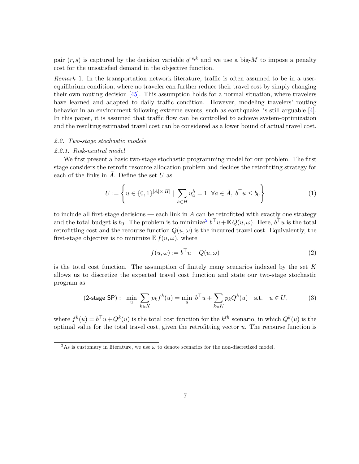pair  $(r, s)$  is captured by the decision variable  $q^{rs,k}$  and we use a big-M to impose a penalty cost for the unsatisfied demand in the objective function.

Remark 1. In the transportation network literature, traffic is often assumed to be in a userequilibrium condition, where no traveler can further reduce their travel cost by simply changing their own routing decision [\[45\]](#page-31-6). This assumption holds for a normal situation, where travelers have learned and adapted to daily traffic condition. However, modeling travelers' routing behavior in an environment following extreme events, such as earthquake, is still arguable [\[4\]](#page-28-3). In this paper, it is assumed that traffic flow can be controlled to achieve system-optimization and the resulting estimated travel cost can be considered as a lower bound of actual travel cost.

#### 2.2. Two-stage stochastic models

#### 2.2.1. Risk-neutral model

We first present a basic two-stage stochastic programming model for our problem. The first stage considers the retrofit resource allocation problem and decides the retrofitting strategy for each of the links in  $\overline{A}$ . Define the set U as

$$
U := \left\{ u \in \{0, 1\}^{|\bar{A}| \times |H|} \mid \sum_{h \in H} u_a^h = 1 \ \forall a \in \bar{A}, \ b^\top u \le b_0 \right\} \tag{1}
$$

to include all first-stage decisions — each link in  $\overline{A}$  can be retrofitted with exactly one strategy and the total budget is  $b_0$ . The problem is to minimize<sup>[2](#page-7-0)</sup>  $b^{\top}u + \mathbb{E} Q(u, \omega)$ . Here,  $b^{\top}u$  is the total retrofitting cost and the recourse function  $Q(u, \omega)$  is the incurred travel cost. Equivalently, the first-stage objective is to minimize  $E f(u, \omega)$ , where

$$
f(u, \omega) := b^{\top} u + Q(u, \omega)
$$
\n<sup>(2)</sup>

is the total cost function. The assumption of finitely many scenarios indexed by the set  $K$ allows us to discretize the expected travel cost function and state our two-stage stochastic program as

$$
(2\text{-stage SP}): \quad \min_u \sum_{k \in K} p_k f^k(u) = \min_u b^\top u + \sum_{k \in K} p_k Q^k(u) \quad \text{s.t.} \quad u \in U,\tag{3}
$$

where  $f^k(u) = b^\top u + Q^k(u)$  is the total cost function for the  $k^{th}$  scenario, in which  $Q^k(u)$  is the optimal value for the total travel cost, given the retrofitting vector  $u$ . The recourse function is

<span id="page-7-0"></span><sup>&</sup>lt;sup>2</sup>As is customary in literature, we use  $\omega$  to denote scenarios for the non-discretized model.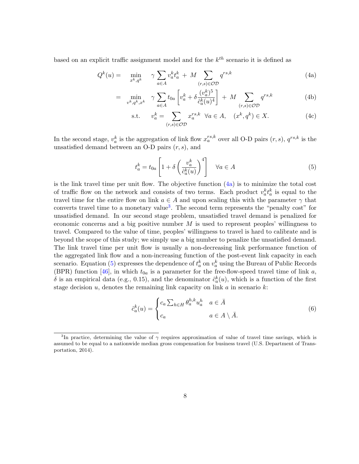based on an explicit traffic assignment model and for the  $k^{th}$  scenario it is defined as

<span id="page-8-0"></span>
$$
Q^{k}(u) = \min_{x^{k}, q^{k}} \gamma \sum_{a \in A} v_{a}^{k} t_{a}^{k} + M \sum_{(r,s) \in \mathcal{OD}} q^{rs,k}
$$
(4a)

$$
= \min_{v^k, q^k, x^k} \quad \gamma \sum_{a \in A} t_{0a} \left[ v_a^k + \delta \frac{(v_a^k)^5}{\hat{c}_a^k(u)^4} \right] + M \sum_{(r,s) \in \mathcal{OD}} q^{rs,k} \tag{4b}
$$

<span id="page-8-4"></span>s.t. 
$$
v_a^k = \sum_{(r,s)\in\mathcal{OD}} x_a^{rs,k} \quad \forall a \in A, \quad (x^k, q^k) \in X. \tag{4c}
$$

In the second stage,  $v_a^k$  is the aggregation of link flow  $x_a^{rs,k}$  over all O-D pairs  $(r, s)$ ,  $q^{rs,k}$  is the unsatisfied demand between an O-D pairs  $(r, s)$ , and

<span id="page-8-2"></span>
$$
t_a^k = t_{0a} \left[ 1 + \delta \left( \frac{v_a^k}{\hat{c}_a^k(u)} \right)^4 \right] \quad \forall a \in A \tag{5}
$$

is the link travel time per unit flow. The objective function  $(4a)$  is to minimize the total cost of traffic flow on the network and consists of two terms. Each product  $v_a^k t_a^k$  is equal to the travel time for the entire flow on link  $a \in A$  and upon scaling this with the parameter  $\gamma$  that converts travel time to a monetary value<sup>[3](#page-8-1)</sup>. The second term represents the "penalty cost" for unsatisfied demand. In our second stage problem, unsatisfied travel demand is penalized for economic concerns and a big positive number  $M$  is used to represent peoples' willingness to travel. Compared to the value of time, peoples' willingness to travel is hard to calibrate and is beyond the scope of this study; we simply use a big number to penalize the unsatisfied demand. The link travel time per unit flow is usually a non-decreasing link performance function of the aggregated link flow and a non-increasing function of the post-event link capacity in each scenario. Equation [\(5\)](#page-8-2) expresses the dependence of  $t_a^k$  on  $v_a^k$  using the Bureau of Public Records (BPR) function [\[46\]](#page-31-7), in which  $t_{0a}$  is a parameter for the free-flow-speed travel time of link a,  $\delta$  is an empirical data (e.g., 0.15), and the denominator  $\hat{c}_a^k(u)$ , which is a function of the first stage decision  $u$ , denotes the remaining link capacity on link  $a$  in scenario  $k$ :

<span id="page-8-3"></span>
$$
\hat{c}_a^k(u) = \begin{cases} c_a \sum_{h \in H} \theta_a^{h,k} u_a^h & a \in \bar{A} \\ c_a & a \in A \setminus \bar{A}. \end{cases}
$$
 (6)

<span id="page-8-1"></span><sup>&</sup>lt;sup>3</sup>In practice, determining the value of  $\gamma$  requires approximation of value of travel time savings, which is assumed to be equal to a nationwide median gross compensation for business travel (U.S. Department of Transportation, 2014).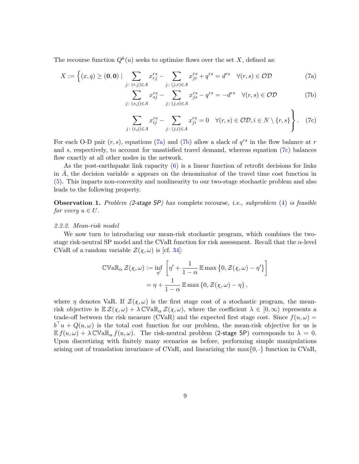The recourse function  $Q^k(u)$  seeks to optimize flows over the set X, defined as:

$$
X := \left\{ (x, q) \geq (\mathbf{0}, \mathbf{0}) \mid \sum_{j \colon (r, j) \in A} x_{rj}^{rs} - \sum_{j \colon (j, r) \in A} x_{jr}^{rs} + q^{rs} = d^{rs} \quad \forall (r, s) \in \mathcal{OD} \tag{7a}
$$

<span id="page-9-1"></span><span id="page-9-0"></span>
$$
\sum_{j \colon (s,j)\in A} x_{sj}^{rs} - \sum_{j \colon (j,s)\in A} x_{js}^{rs} - q^{rs} = -d^{rs} \quad \forall (r,s)\in \mathcal{OD}
$$
 (7b)

<span id="page-9-2"></span>
$$
\sum_{j:\ (i,j)\in A} x_{ij}^{rs} - \sum_{j:\ (j,i)\in A} x_{ji}^{rs} = 0 \quad \forall (r,s)\in \mathcal{OD}, i\in N\setminus\{r,s\} \Bigg\}.
$$
 (7c)

For each O-D pair  $(r, s)$ , equations [\(7a\)](#page-9-0) and [\(7b\)](#page-9-1) allow a slack of  $q^{rs}$  in the flow balance at r and s, respectively, to account for unsatisfied travel demand, whereas equation [\(7c\)](#page-9-2) balances flow exactly at all other nodes in the network.

As the post-earthquake link capacity [\(6\)](#page-8-3) is a linear function of retrofit decisions for links in  $\overline{A}$ , the decision variable u appears on the denominator of the travel time cost function in [\(5\)](#page-8-2). This imparts non-convexity and nonlinearity to our two-stage stochastic problem and also leads to the following property.

<span id="page-9-3"></span>**Observation 1.** Problem (2-stage SP) has complete recourse, *i.e.*, subproblem [\(4\)](#page-8-4) is feasible for every  $u \in U$ .

#### 2.2.2. Mean-risk model

We now turn to introducing our mean-risk stochastic program, which combines the twostage risk-neutral SP model and the CVaR function for risk assessment. Recall that the  $\alpha$ -level CVaR of a random variable  $\mathcal{Z}(\chi,\omega)$  is [cf. [34\]](#page-30-8):

$$
\mathbb{CVa}\mathbb{R}_{\alpha}\mathcal{Z}(\chi,\omega) := \inf_{\eta'} \left[ \eta' + \frac{1}{1-\alpha} \mathbb{E} \max\left\{0, \mathcal{Z}(\chi,\omega) - \eta'\right\} \right]
$$

$$
= \eta + \frac{1}{1-\alpha} \mathbb{E} \max\left\{0, \mathcal{Z}(\chi,\omega) - \eta\right\},
$$

where  $\eta$  denotes VaR. If  $\mathcal{Z}(\chi,\omega)$  is the first stage cost of a stochastic program, the meanrisk objective is  $\mathbb{E} \mathcal{Z}(\chi,\omega) + \lambda \mathbb{C} \mathbb{V} \text{a} \mathbb{R}_{\alpha} \mathcal{Z}(\chi,\omega)$ , where the coefficient  $\lambda \in [0,\infty)$  represents a trade-off between the risk measure (CVaR) and the expected first stage cost. Since  $f(u, \omega)$  $b^{\top}u + Q(u, \omega)$  is the total cost function for our problem, the mean-risk objective for us is  $E f(u, \omega) + \lambda \mathbb{CVaR}_{\alpha} f(u, \omega)$ . The risk-neutral problem (2-stage SP) corresponds to  $\lambda = 0$ . Upon discretizing with finitely many scenarios as before, performing simple manipulations arising out of translation invariance of CVaR, and linearizing the max $\{0, \cdot\}$  function in CVaR,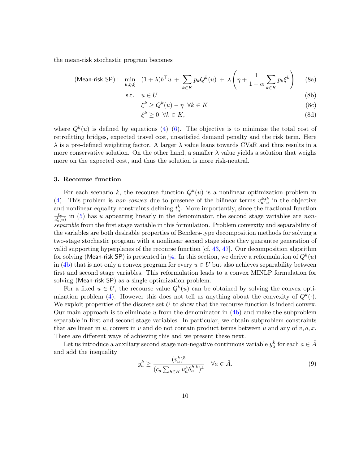the mean-risk stochastic program becomes

$$
\text{(Mean-risk SP)}: \quad \min_{u,\eta,\xi} \quad (1+\lambda)b^\top u + \sum_{k \in K} p_k Q^k(u) + \lambda \left(\eta + \frac{1}{1-\alpha} \sum_{k \in K} p_k \xi^k\right) \tag{8a}
$$

$$
s.t. \t u \in U \t\t(8b)
$$

<span id="page-10-2"></span>
$$
\xi^k \ge Q^k(u) - \eta \ \forall k \in K \tag{8c}
$$

$$
\xi^k \ge 0 \quad \forall k \in K,\tag{8d}
$$

where  $Q^{k}(u)$  is defined by equations [\(4\)](#page-8-4)–[\(6\)](#page-8-3). The objective is to minimize the total cost of retrofitting bridges, expected travel cost, unsatisfied demand penalty and the risk term. Here  $\lambda$  is a pre-defined weighting factor. A larger  $\lambda$  value leans towards CVaR and thus results in a more conservative solution. On the other hand, a smaller  $\lambda$  value yields a solution that weighs more on the expected cost, and thus the solution is more risk-neutral.

#### <span id="page-10-0"></span>3. Recourse function

For each scenario k, the recourse function  $Q^k(u)$  is a nonlinear optimization problem in [\(4\)](#page-8-4). This problem is *non-convex* due to presence of the bilinear terms  $v_a^k t_a^k$  in the objective and nonlinear equality constraints defining  $t_a^k$ . More importantly, since the fractional function  $v_a$  $\frac{v_a}{c_a^k(u)}$  in [\(5\)](#page-8-2) has u appearing linearly in the denominator, the second stage variables are nonseparable from the first stage variable in this formulation. Problem convexity and separability of the variables are both desirable properties of Benders-type decomposition methods for solving a two-stage stochastic program with a nonlinear second stage since they guarantee generation of valid supporting hyperplanes of the recourse function  $[cf. 43, 47]$  $[cf. 43, 47]$  $[cf. 43, 47]$  $[cf. 43, 47]$ . Our decomposition algorithm for solving (Mean-risk SP) is presented in §[4.](#page-15-0) In this section, we derive a reformulation of  $Q^k(u)$ in [\(4b\)](#page-8-0) that is not only a convex program for every  $u \in U$  but also achieves separability between first and second stage variables. This reformulation leads to a convex MINLP formulation for solving (Mean-risk SP) as a single optimization problem.

For a fixed  $u \in U$ , the recourse value  $Q^k(u)$  can be obtained by solving the convex opti-mization problem [\(4\)](#page-8-4). However this does not tell us anything about the convexity of  $Q^k(.)$ . We exploit properties of the discrete set  $U$  to show that the recourse function is indeed convex. Our main approach is to eliminate  $u$  from the denominator in  $(4b)$  and make the subproblem separable in first and second stage variables. In particular, we obtain subproblem constraints that are linear in u, convex in v and do not contain product terms between u and any of  $v, q, x$ . There are different ways of achieving this and we present these next.

Let us introduce a auxiliary second stage non-negative continuous variable  $y_a^k$  for each  $a \in \bar{A}$ and add the inequality

<span id="page-10-1"></span>
$$
y_a^k \ge \frac{(v_a^k)^5}{(c_a \sum_{h \in H} u_a^h \theta_a^{h,k})^4} \quad \forall a \in \bar{A}.
$$
 (9)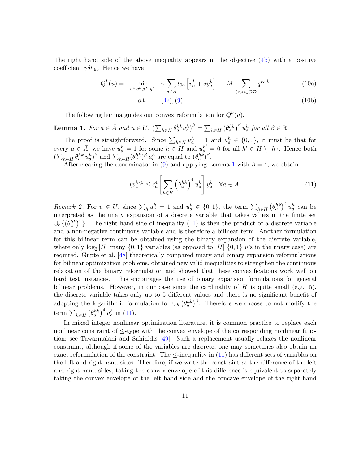The right hand side of the above inequality appears in the objective [\(4b\)](#page-8-0) with a positive coefficient  $\gamma \delta t_{0a}$ . Hence we have

$$
Q^{k}(u) = \min_{v^{k}, q^{k}, x^{k}, y^{k}} \gamma \sum_{a \in A} t_{0a} \left[ v_{a}^{k} + \delta y_{a}^{k} \right] + M \sum_{(r,s) \in \mathcal{OD}} q^{rs,k}
$$
(10a)

<span id="page-11-3"></span>s.t. 
$$
(4c), (9)
$$
. (10b)

The following lemma guides our convex reformulation for  $Q^k(u)$ .

<span id="page-11-0"></span>**Lemma 1.** For  $a \in \overline{A}$  and  $u \in U$ ,  $\left(\sum_{h \in H} \theta_a^{hk} u_a^h\right)^{\beta} = \sum_{h \in H} \left(\theta_a^{hk}\right)^{\beta} u_a^h$  for all  $\beta \in \mathbb{R}$ .

The proof is straightforward. Since  $\sum_{h\in H} u_a^h = 1$  and  $u_a^h \in \{0,1\}$ , it must be that for every  $a \in \overline{A}$ , we have  $u_a^h = 1$  for some  $h \in H$  and  $u_a^{h'} = 0$  for all  $h' \in H \setminus \{h\}$ . Hence both  $(\sum_{h\in H}\theta_a^{hk}u_a^h)^{\beta}$  and  $\sum_{h\in H}(\theta_a^{hk})^{\beta}u_a^h$  are equal to  $(\theta_a^{hk})^{\beta}$ .

After clearing the denominator in [\(9\)](#page-10-1) and applying Lemma [1](#page-11-0) with  $\beta = 4$ , we obtain

<span id="page-11-1"></span>
$$
(v_a^k)^5 \le c_a^4 \left[ \sum_{h \in H} \left( \theta_a^{hk} \right)^4 u_a^h \right] y_a^k \quad \forall a \in \bar{A}.\tag{11}
$$

<span id="page-11-2"></span>Remark 2. For  $u \in U$ , since  $\sum_h u_a^h = 1$  and  $u_a^h \in \{0,1\}$ , the term  $\sum_{h \in H} (\theta_a^{hk})^4 u_a^h$  can be interpreted as the unary expansion of a discrete variable that takes values in the finite set  $\cup_h\{\left(\theta_a^{hk}\right)^4\}$ . The right hand side of inequality [\(11\)](#page-11-1) is then the product of a discrete variable and a non-negative continuous variable and is therefore a bilinear term. Another formulation for this bilinear term can be obtained using the binary expansion of the discrete variable, where only  $\log_2|H|$  many  $\{0,1\}$  variables (as opposed to |H|  $\{0,1\}$  u's in the unary case) are required. Gupte et al. [\[48\]](#page-31-9) theoretically compared unary and binary expansion reformulations for bilinear optimization problems, obtained new valid inequalities to strengthen the continuous relaxation of the binary reformulation and showed that these convexifications work well on hard test instances. This encourages the use of binary expansion formulations for general bilinear problems. However, in our case since the cardinality of  $H$  is quite small (e.g., 5), the discrete variable takes only up to 5 different values and there is no significant benefit of adopting the logarithmic formulation for  $\cup_h (\theta_a^{hk})^4$ . Therefore we choose to not modify the term  $\sum_{h\in H} \left(\theta_a^{hk}\right)^4 u_a^h$  in [\(11\)](#page-11-1).

In mixed integer nonlinear optimization literature, it is common practice to replace each nonlinear constraint of ≤-type with the convex envelope of the corresponding nonlinear function; see Tawarmalani and Sahinidis [\[49\]](#page-31-10). Such a replacement usually relaxes the nonlinear constraint, although if some of the variables are discrete, one may sometimes also obtain an exact reformulation of the constraint. The  $\leq$ -inequality in [\(11\)](#page-11-1) has different sets of variables on the left and right hand sides. Therefore, if we write the constraint as the difference of the left and right hand sides, taking the convex envelope of this difference is equivalent to separately taking the convex envelope of the left hand side and the concave envelope of the right hand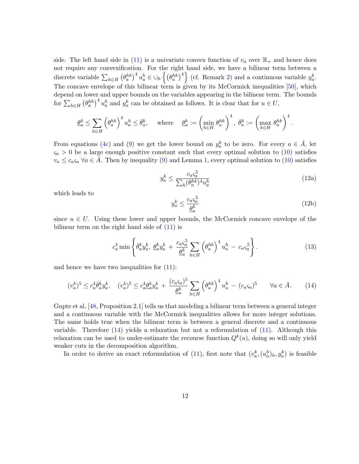side. The left hand side in [\(11\)](#page-11-1) is a univariate convex function of  $v_a$  over  $\mathbb{R}_+$  and hence does not require any convexification. For the right hand side, we have a bilinear term between a discrete variable  $\sum_{h\in H} \left(\theta_a^{hk}\right)^4 u_a^h \in \bigcup_h \left\{ \left(\theta_a^{hk}\right)^4 \right\}$  (cf. Remark [2\)](#page-11-2) and a continuous variable  $y_a^k$ . The concave envelope of this bilinear term is given by its McCormick inequalities [\[50\]](#page-31-11), which depend on lower and upper bounds on the variables appearing in the bilinear term. The bounds for  $\sum_{h\in H}$   $(\theta_a^{hk})^4 u_a^h$  and  $y_a^k$  can be obtained as follows. It is clear that for  $u \in U$ ,

$$
\underline{\theta}_a^k \le \sum_{h \in H} \left(\theta_a^{hk}\right)^4 u_a^h \le \bar{\theta}_a^k, \quad \text{ where } \quad \underline{\theta}_a^k := \left(\min_{h \in H} \theta_a^{hk}\right)^4, \ \bar{\theta}_a^k := \left(\max_{h \in H} \theta_a^{hk}\right)^4.
$$

From equations [\(4c\)](#page-8-0) and [\(9\)](#page-10-1) we get the lower bound on  $y_a^k$  to be zero. For every  $a \in \overline{A}$ , let  $\varsigma_a > 0$  be a large enough positive constant such that every optimal solution to [\(10\)](#page-11-3) satisfies  $v_a \leq c_a \varsigma_a \ \forall a \in \overline{A}$ . Then by inequality [\(9\)](#page-10-1) and Lemma [1,](#page-11-0) every optimal solution to [\(10\)](#page-11-3) satisfies

<span id="page-12-2"></span>
$$
y_a^k \le \frac{c_a \varsigma_a^5}{\sum_h (\theta_a^{hk})^4 u_a^h} \tag{12a}
$$

which leads to

<span id="page-12-3"></span>
$$
y_a^k \le \frac{c_a \varsigma_a^5}{\underline{\theta}_a^k} \tag{12b}
$$

since  $u \in U$ . Using these lower and upper bounds, the McCormick concave envelope of the bilinear term on the right hand side of  $(11)$  is

<span id="page-12-1"></span>
$$
c_a^4 \min \left\{ \bar{\theta}_a^k y_a^k, \ \underline{\theta}_a^k y_a^k + \frac{c_a \varsigma_a^5}{\underline{\theta}_a^k} \sum_{h \in H} \left( \theta_a^{hk} \right)^4 u_a^h - c_a \varsigma_a^5 \right\}.
$$
 (13)

and hence we have two inequalities for  $(11)$ :

<span id="page-12-0"></span>
$$
(v_a^k)^5 \le c_a^4 \bar{\theta}_a^k y_a^k, \quad (v_a^k)^5 \le c_a^4 \underline{\theta}_a^k y_a^k + \frac{(c_a \varsigma_a)^5}{\underline{\theta}_a^k} \sum_{h \in H} \left(\theta_a^{hk}\right)^4 u_a^h - (c_a \varsigma_a)^5 \qquad \forall a \in \bar{A}.\tag{14}
$$

Gupte et al. [\[48,](#page-31-9) Proposition 2.1] tells us that modeling a bilinear term between a general integer and a continuous variable with the McCormick inequalities allows for more integer solutions. The same holds true when the bilinear term is between a general discrete and a continuous variable. Therefore  $(14)$  yields a relaxation but not a reformulation of  $(11)$ . Although this relaxation can be used to under-estimate the recourse function  $Q^k(u)$ , doing so will only yield weaker cuts in the decomposition algorithm.

In order to derive an exact reformulation of [\(11\)](#page-11-1), first note that  $(v_a^k,(u_a^h)_h, y_a^k)$  is feasible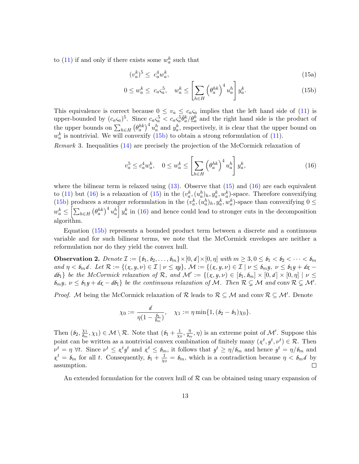to [\(11\)](#page-11-1) if and only if there exists some  $w_a^k$  such that

<span id="page-13-1"></span><span id="page-13-0"></span>
$$
(v_a^k)^5 \le c_a^4 w_a^k,\tag{15a}
$$

$$
0 \le w_a^k \le c_a \varsigma_a^5, \quad w_a^k \le \left[ \sum_{h \in H} \left( \theta_a^{hk} \right)^4 u_a^h \right] y_a^k. \tag{15b}
$$

This equivalence is correct because  $0 \le v_a \le c_a s_a$  implies that the left hand side of [\(11\)](#page-11-1) is upper-bounded by  $(c_a\varsigma_a)^5$ . Since  $c_a\varsigma_a^5 < c_a\varsigma_a^5\overline{\theta}_a^k/\underline{\theta}_a^k$  and the right hand side is the product of the upper bounds on  $\sum_{h\in H}$   $(\theta_a^{hk})^4 u_a^h$  and  $y_a^k$ , respectively, it is clear that the upper bound on  $w_a^k$  is nontrivial. We will convexify [\(15b\)](#page-13-0) to obtain a strong reformulation of [\(11\)](#page-11-1).

Remark 3. Inequalities [\(14\)](#page-12-0) are precisely the projection of the McCormick relaxation of

<span id="page-13-2"></span>
$$
v_a^5 \le c_a^4 w_a^k, \quad 0 \le w_a^k \le \left[ \sum_{h \in H} \left( \theta_a^{hk} \right)^4 u_a^h \right] y_a^k,\tag{16}
$$

where the bilinear term is relaxed using  $(13)$ . Observe that  $(15)$  and  $(16)$  are each equivalent to [\(11\)](#page-11-1) but [\(16\)](#page-13-2) is a relaxation of [\(15\)](#page-13-1) in the  $(v_a^k,(u_a^h)_h, y_a^k, w_a^k)$ -space. Therefore convexifying [\(15b\)](#page-13-0) produces a stronger reformulation in the  $(v_a^k,(u_a^h)_h, y_a^k, w_a^k)$ -space than convexifying  $0 \le$  $w_a^k \leq \left[\sum_{h \in H} \left(\theta_a^{hk}\right)^4 u_a^h\right] y_a^k$  in [\(16\)](#page-13-2) and hence could lead to stronger cuts in the decomposition algorithm.

Equation [\(15b\)](#page-13-0) represents a bounded product term between a discrete and a continuous variable and for such bilinear terms, we note that the McCormick envelopes are neither a reformulation nor do they yield the convex hull.

<span id="page-13-3"></span>**Observation 2.** Denote  $\mathcal{I} := \{b_1, b_2, \ldots, b_m\} \times [0, d] \times [0, \eta]$  with  $m \geq 3, 0 \leq b_1 < b_2 < \cdots < b_m$ and  $\eta < \beta_m d$ . Let  $\mathcal{R} := \{(\chi, y, \nu) \in \mathcal{I} \mid \nu \leq \chi y\}$ ,  $\mathcal{M} := \{(\chi, y, \nu) \in \mathcal{I} \mid \nu \leq \beta_m y, \nu \leq \beta_1 y + d\chi - d\chi \}$  $d\mathfrak{b}_1$  be the McCormick relaxation of R, and  $\mathcal{M}' := \{(\mathfrak{x}, y, \nu) \in [\mathfrak{b}_1, \mathfrak{b}_m] \times [0, \mathfrak{a}] \times [0, \eta] \mid \nu \leq \mathfrak{b}_1$  $\mathfrak{b}_m y$ ,  $\nu \leq \mathfrak{b}_1 y + d\mathfrak{x} - d\mathfrak{b}_1$  be the continuous relaxation of M. Then  $\mathcal{R} \subsetneq \mathcal{M}$  and conv  $\mathcal{R} \subsetneq \mathcal{M}'$ .

*Proof.* M being the McCormick relaxation of R leads to  $R \subseteq M$  and conv  $R \subseteq M'$ . Denote

$$
\chi_0:=\frac{d}{\eta(1-\frac{\theta_1}{\theta_m})},\quad \chi_1:=\eta\min\{1,(\theta_2-\theta_1)\chi_0\}.
$$

Then  $(\mathfrak{b}_2, \frac{\chi_1}{\mathfrak{b}_m})$  $\frac{1}{\chi_0}, \frac{\eta}{b_n}$  $\frac{\chi_1}{\phi_m}, \chi_1$   $\in \mathcal{M} \setminus \mathcal{R}$ . Note that  $(\beta_1 + \frac{1}{\chi_0})$  $\frac{\eta}{b_m}, \eta$ ) is an extreme point of  $\mathcal{M}'$ . Suppose this point can be written as a nontrivial convex combination of finitely many  $(x^t, y^t, \nu^t) \in \mathcal{R}$ . Then  $\nu^t = \eta \ \forall t.$  Since  $\nu^t \leq \chi^t y^t$  and  $\chi^t \leq \theta_m$ , it follows that  $y^t \geq \eta/\theta_m$  and hence  $y^t = \eta/\theta_m$  and  $\chi^t = \mathfrak{b}_m$  for all t. Consequently,  $\mathfrak{b}_1 + \frac{1}{\gamma}$  $\frac{1}{\chi_0} = \mathfrak{b}_m$ , which is a contradiction because  $\eta < \mathfrak{b}_m d$  by assumption.  $\Box$ 

An extended formulation for the convex hull of  $R$  can be obtained using unary expansion of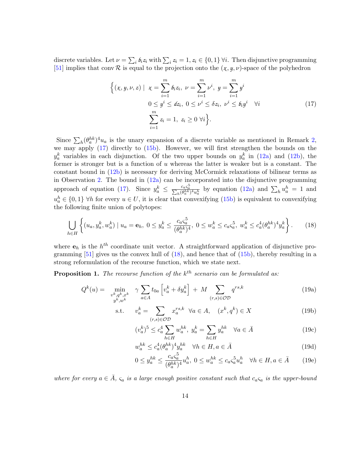discrete variables. Let  $\nu = \sum_i b_i z_i$  with  $\sum_i z_i = 1, z_i \in \{0, 1\}$   $\forall i$ . Then disjunctive programming [\[51\]](#page-31-12) implies that conv  $\mathcal R$  is equal to the projection onto the  $(\chi, y, \nu)$ -space of the polyhedron

$$
\left\{ (\kappa, y, \nu, z) \mid \chi = \sum_{i=1}^{m} b_i z_i, \ \nu = \sum_{i=1}^{m} \nu^i, \ y = \sum_{i=1}^{m} y^i
$$
  

$$
0 \le y^i \le dz_i, \ 0 \le \nu^i \le \delta z_i, \ \nu^i \le b_i y^i \quad \forall i
$$
  

$$
\sum_{i=1}^{m} z_i = 1, \ z_i \ge 0 \ \forall i \right\}.
$$
 (17)

<span id="page-14-0"></span>Since  $\sum_h (\theta_a^{hk})^4 u_a$  is the unary expansion of a discrete variable as mentioned in Remark [2,](#page-11-2) we may apply [\(17\)](#page-14-0) directly to [\(15b\)](#page-13-0). However, we will first strengthen the bounds on the  $y_a^k$  variables in each disjunction. Of the two upper bounds on  $y_a^k$  in [\(12a\)](#page-12-2) and [\(12b\)](#page-12-3), the former is stronger but is a function of  $u$  whereas the latter is weaker but is a constant. The constant bound in [\(12b\)](#page-12-3) is necessary for deriving McCormick relaxations of bilinear terms as in Observation [2.](#page-13-3) The bound in  $(12a)$  can be incorporated into the disjunctive programming approach of equation [\(17\)](#page-14-0). Since  $y_a^k \leq \frac{c_a \zeta_a^5}{\sum_h (\theta_a^{hk})^4 u_a^h}$  by equation [\(12a\)](#page-12-2) and  $\sum_h u_a^h = 1$  and  $u_a^h \in \{0,1\}$   $\forall h$  for every  $u \in U$ , it is clear that convexifying  $(15b)$  is equivalent to convexifying the following finite union of polytopes:

<span id="page-14-1"></span>
$$
\bigcup_{h \in H} \left\{ (u_a, y_a^k, w_a^k) \mid u_a = \mathbf{e}_h, \ 0 \le y_a^k \le \frac{c_a \varsigma_a^5}{(\theta_a^{hk})^4}, \ 0 \le w_a^k \le c_a \varsigma_a^5, \ w_a^k \le c_a^4 (\theta_a^{hk})^4 y_a^k \right\}.
$$
 (18)

where  $e_h$  is the  $h^{th}$  coordinate unit vector. A straightforward application of disjunctive programming  $[51]$  gives us the convex hull of  $(18)$ , and hence that of  $(15b)$ , thereby resulting in a strong reformulation of the recourse function, which we state next.

<span id="page-14-2"></span>**Proposition 1.** The recourse function of the  $k^{th}$  scenario can be formulated as:

<span id="page-14-3"></span>
$$
Q^{k}(u) = \min_{\substack{v^{k}, q^{k}, x^{k} \\ y^{k}, w^{k}}} \gamma \sum_{a \in A} t_{0a} \left[ v_{a}^{k} + \delta y_{a}^{k} \right] + M \sum_{(r,s) \in \mathcal{OD}} q^{rs,k}
$$
(19a)

s.t. 
$$
v_a^k = \sum_{(r,s)\in\mathcal{OD}} x_a^{rs,k} \quad \forall a \in A, \quad (x^k, q^k) \in X
$$
 (19b)

$$
(v_a^k)^5 \le c_a^4 \sum_{h \in H} w_a^{hk}, \ y_a^k = \sum_{h \in H} y_a^{hk} \quad \forall a \in \overline{A}
$$
 (19c)

$$
w_a^{hk} \le c_a^4 (\theta_a^{hk})^4 y_a^{hk} \quad \forall h \in H, a \in \bar{A}
$$
 (19d)

$$
0 \le y_a^{hk} \le \frac{c_a \varsigma_a^5}{(\theta_a^{hk})^4} u_a^h, \ 0 \le w_a^{hk} \le c_a \varsigma_a^5 u_a^h \quad \forall h \in H, a \in \bar{A}
$$
 (19e)

where for every  $a \in \overline{A}$ ,  $\varsigma_a$  is a large enough positive constant such that  $c_a \varsigma_a$  is the upper-bound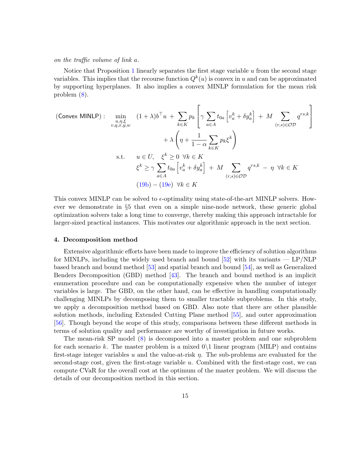#### on the traffic volume of link a.

Notice that Proposition [1](#page-14-2) linearly separates the first stage variable  $u$  from the second stage variables. This implies that the recourse function  $Q^k(u)$  is convex in u and can be approximated by supporting hyperplanes. It also implies a convex MINLP formulation for the mean risk problem [\(8\)](#page-10-2).

 $\overline{a}$ 

(Convex MINLP): 
$$
\min_{\substack{u,\eta,\xi \\ v,q,x,y,w}} (1+\lambda)b^{\top}u + \sum_{k \in K} p_k \left[ \gamma \sum_{a \in A} t_{0a} \left[ v_a^k + \delta y_a^k \right] + M \sum_{(r,s) \in \mathcal{OD}} q^{rs,k} \right] + \lambda \left( \eta + \frac{1}{1-\alpha} \sum_{k \in K} p_k \xi^k \right)
$$
  
s.t.  $u \in U, \quad \xi^k \ge 0 \quad \forall k \in K$   
 $\xi^k \ge \gamma \sum_{a \in A} t_{0a} \left[ v_a^k + \delta y_a^k \right] + M \sum_{(r,s) \in \mathcal{OD}} q^{rs,k} - \eta \quad \forall k \in K$   
(19b) – (19e)  $\forall k \in K$ 

This convex MINLP can be solved to  $\epsilon$ -optimality using state-of-the-art MINLP solvers. However we demonstrate in §5 that even on a simple nine-node network, these generic global optimization solvers take a long time to converge, thereby making this approach intractable for larger-sized practical instances. This motivates our algorithmic approach in the next section.

#### <span id="page-15-0"></span>4. Decomposition method

Extensive algorithmic efforts have been made to improve the efficiency of solution algorithms for MINLPs, including the widely used branch and bound  $[52]$  with its variants — LP/NLP based branch and bound method [\[53\]](#page-32-0) and spatial branch and bound [\[54\]](#page-32-1), as well as Generalized Benders Decomposition (GBD) method [\[43\]](#page-31-4). The branch and bound method is an implicit enumeration procedure and can be computationally expensive when the number of integer variables is large. The GBD, on the other hand, can be effective in handling computationally challenging MINLPs by decomposing them to smaller tractable subproblems. In this study, we apply a decomposition method based on GBD. Also note that there are other plausible solution methods, including Extended Cutting Plane method [\[55\]](#page-32-2), and outer approximation [\[56\]](#page-32-3). Though beyond the scope of this study, comparisons between these different methods in terms of solution quality and performance are worthy of investigation in future works.

The mean-risk SP model [\(8\)](#page-10-2) is decomposed into a master problem and one subproblem for each scenario k. The master problem is a mixed  $0\backslash 1$  linear program (MILP) and contains first-stage integer variables u and the value-at-risk  $\eta$ . The sub-problems are evaluated for the second-stage cost, given the first-stage variable u. Combined with the first-stage cost, we can compute CVaR for the overall cost at the optimum of the master problem. We will discuss the details of our decomposition method in this section.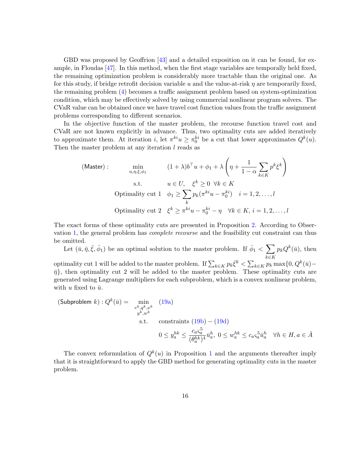GBD was proposed by Geoffrion [\[43\]](#page-31-4) and a detailed exposition on it can be found, for example, in Floudas [\[47\]](#page-31-8). In this method, when the first stage variables are temporally held fixed, the remaining optimization problem is considerably more tractable than the original one. As for this study, if bridge retrofit decision variable u and the value-at-risk  $\eta$  are temporarily fixed, the remaining problem [\(4\)](#page-8-4) becomes a traffic assignment problem based on system-optimization condition, which may be effectively solved by using commercial nonlinear program solvers. The CVaR value can be obtained once we have travel cost function values from the traffic assignment problems corresponding to different scenarios.

In the objective function of the master problem, the recourse function travel cost and CVaR are not known explicitly in advance. Thus, two optimality cuts are added iteratively to approximate them. At iteration *i*, let  $\pi^{ki}u \geq \pi_0^{ki}$  be a cut that lower approximates  $Q^k(u)$ . Then the master problem at any iteration  $l$  reads as

(Master): 
$$
\min_{u,\eta,\xi,\phi_1} (1+\lambda)b^\top u + \phi_1 + \lambda \left(\eta + \frac{1}{1-\alpha} \sum_{k \in K} p^k \xi^k\right)
$$
  
s.t. 
$$
u \in U, \quad \xi^k \ge 0 \quad \forall k \in K
$$
Optimality cut  $1 \quad \phi_1 \ge \sum_k p_k (\pi^{ki} u - \pi_0^{ki}) \quad i = 1, 2, ..., l$   
Optimality cut  $2 \quad \xi^k \ge \pi^{ki} u - \pi_0^{ki} - \eta \quad \forall k \in K, i = 1, 2, ..., l$ 

The exact forms of these optimality cuts are presented in Proposition [2.](#page-17-0) According to Observation [1,](#page-9-3) the general problem has complete recourse and the feasibility cut constraint can thus be omitted.

Let  $(\bar{u}, \bar{\eta}, \bar{\xi}, \bar{\phi}_1)$  be an optimal solution to the master problem. If  $\bar{\phi}_1 < \sum$ k∈K  $p_k Q^k(\bar{u})$ , then optimality cut 1 will be added to the master problem. If  $\sum_{k \in K} p_k \bar{\xi}^k < \sum_{k \in K} p_k \max\{0, Q^k(\bar{u}) \bar{\eta}$ , then optimality cut 2 will be added to the master problem. These optimality cuts are generated using Lagrange multipliers for each subproblem, which is a convex nonlinear problem, with u fixed to  $\bar{u}$ .

(Subproblem 
$$
k
$$
) :  $Q^k(\bar{u}) = \min_{\substack{v^k, q^k, x^k \\ y^k, w^k}} (19a)$   
s.t. constraints  $(19b) - (19d)$   
 $0 \le y_a^{hk} \le \frac{c_a \zeta_a^5}{(\theta_a^{hk})^4} \bar{u}_a^h, 0 \le w_a^{hk} \le c_a \zeta_a^5 \bar{u}_a^h \quad \forall h \in H, a \in \bar{A}$ 

The convex reformulation of  $Q^k(u)$  in Proposition [1](#page-14-2) and the arguments thereafter imply that it is straightforward to apply the GBD method for generating optimality cuts in the master problem.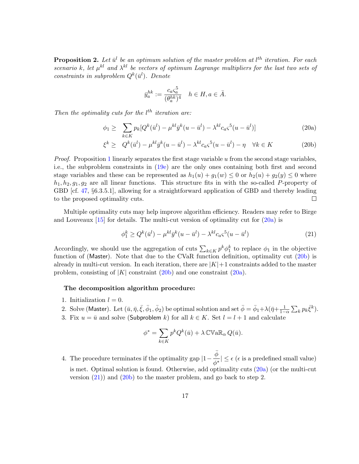<span id="page-17-0"></span>**Proposition 2.** Let  $\bar{u}^l$  be an optimum solution of the master problem at  $l^{th}$  iteration. For each scenario k, let  $\mu^{kl}$  and  $\lambda^{kl}$  be vectors of optimum Lagrange multipliers for the last two sets of constraints in subproblem  $Q^k(\bar{u}^l)$ . Denote

$$
\bar{y}_a^{hk}:=\frac{c_a\varsigma_a^5}{(\theta_a^{hk})^4}\quad h\in H, a\in\bar{A}.
$$

Then the optimality cuts for the  $l<sup>th</sup>$  iteration are:

<span id="page-17-1"></span>
$$
\phi_1 \geq \sum_{k \in K} p_k [Q^k(\bar{u}^l) - \mu^{kl} \bar{y}^k(u - \bar{u}^l) - \lambda^{kl} c_a \varsigma^5(u - \bar{u}^l)] \tag{20a}
$$

$$
\xi^k \geq Q^k(\bar{u}^l) - \mu^{kl}\bar{y}^k(u - \bar{u}^l) - \lambda^{kl}c_a\varsigma^5(u - \bar{u}^l) - \eta \quad \forall k \in K
$$
\n(20b)

*Proof.* Proposition [1](#page-14-2) linearly separates the first stage variable u from the second stage variables, i.e., the subproblem constraints in [\(19e\)](#page-14-3) are the only ones containing both first and second stage variables and these can be represented as  $h_1(u) + g_1(w) \leq 0$  or  $h_2(u) + g_2(y) \leq 0$  where  $h_1, h_2, g_1, g_2$  are all linear functions. This structure fits in with the so-called P-property of GBD [cf. [47,](#page-31-8) §6.3.5.1], allowing for a straightforward application of GBD and thereby leading to the proposed optimality cuts.  $\Box$ 

Multiple optimality cuts may help improve algorithm efficiency. Readers may refer to Birge and Louveaux  $[15]$  for details. The multi-cut version of optimality cut for  $(20a)$  is

<span id="page-17-2"></span>
$$
\phi_1^k \ge Q^k(\bar{u}^l) - \mu^{kl} \bar{y}^k(u - \bar{u}^l) - \lambda^{kl} c_a \varsigma^5(u - \bar{u}^l)
$$
\n(21)

Accordingly, we should use the aggregation of cuts  $\sum_{k \in K} p^k \phi_1^k$  to replace  $\phi_1$  in the objective function of (Master). Note that due to the CVaR function definition, optimality cut [\(20b\)](#page-17-1) is already in multi-cut version. In each iteration, there are  $|K|+1$  constraints added to the master problem, consisting of  $|K|$  constraint  $(20b)$  and one constraint  $(20a)$ .

#### The decomposition algorithm procedure:

- 1. Initialization  $l = 0$ .
- 2. Solve (Master). Let  $(\bar{u}, \bar{\eta}, \bar{\xi}, \bar{\phi}_1, \bar{\phi}_2)$  be optimal solution and set  $\bar{\phi} = \bar{\phi}_1 + \lambda(\bar{\eta} + \frac{1}{1-\alpha} \sum_k p_k \bar{\xi}^k)$ .
- 3. Fix  $u = \bar{u}$  and solve (Subproblem k) for all  $k \in K$ . Set  $l = l + 1$  and calculate

$$
\phi^* = \sum_{k \in K} p^k Q^k(\bar{u}) + \lambda \mathbb{CVa} \mathbb{R}_{\alpha} Q(\bar{u}).
$$

4. The procedure terminates if the optimality gap  $|1-\frac{\bar{\phi}}{\bar{\phi}}|$  $\frac{\varphi}{\phi^*}$   $\leq$   $\epsilon$  ( $\epsilon$  is a predefined small value) is met. Optimal solution is found. Otherwise, add optimality cuts [\(20a\)](#page-17-1) (or the multi-cut version  $(21)$  and  $(20b)$  to the master problem, and go back to step 2.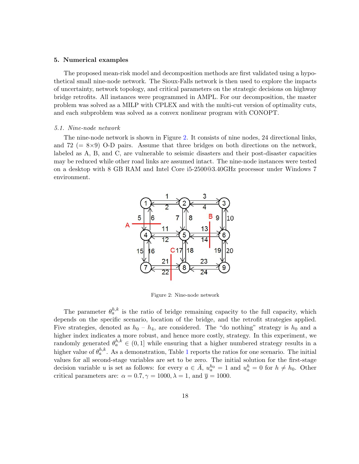#### <span id="page-18-0"></span>5. Numerical examples

The proposed mean-risk model and decomposition methods are first validated using a hypothetical small nine-node network. The Sioux-Falls network is then used to explore the impacts of uncertainty, network topology, and critical parameters on the strategic decisions on highway bridge retrofits. All instances were programmed in AMPL. For our decomposition, the master problem was solved as a MILP with CPLEX and with the multi-cut version of optimality cuts, and each subproblem was solved as a convex nonlinear program with CONOPT.

#### <span id="page-18-2"></span>5.1. Nine-node network

<span id="page-18-1"></span>The nine-node network is shown in Figure [2.](#page-18-1) It consists of nine nodes, 24 directional links, and  $72 (= 8\times9)$  O-D pairs. Assume that three bridges on both directions on the network, labeled as A, B, and C, are vulnerable to seismic disasters and their post-disaster capacities may be reduced while other road links are assumed intact. The nine-node instances were tested on a desktop with 8 GB RAM and Intel Core i5-2500@3.40GHz processor under Windows 7 environment.



Figure 2: Nine-node network

The parameter  $\theta_a^{h,k}$  is the ratio of bridge remaining capacity to the full capacity, which depends on the specific scenario, location of the bridge, and the retrofit strategies applied. Five strategies, denoted as  $h_0 - h_4$ , are considered. The "do nothing" strategy is  $h_0$  and a higher index indicates a more robust, and hence more costly, strategy. In this experiment, we randomly generated  $\theta_a^{h,k} \in (0,1]$  while ensuring that a higher numbered strategy results in a higher value of  $\theta_a^{h,k}$ . As a demonstration, Table [1](#page-19-0) reports the ratios for one scenario. The initial values for all second-stage variables are set to be zero. The initial solution for the first-stage decision variable u is set as follows: for every  $a \in \overline{A}$ ,  $u_a^{h_0} = 1$  and  $u_a^h = 0$  for  $h \neq h_0$ . Other critical parameters are:  $\alpha = 0.7, \gamma = 1000, \lambda = 1$ , and  $\overline{y} = 1000$ .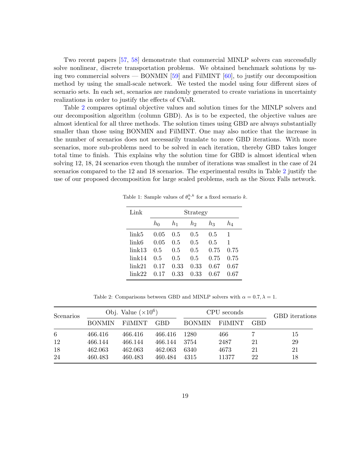Two recent papers [\[57,](#page-32-4) [58\]](#page-32-5) demonstrate that commercial MINLP solvers can successfully solve nonlinear, discrete transportation problems. We obtained benchmark solutions by using two commercial solvers — BONMIN [\[59\]](#page-32-6) and FilMINT [\[60\]](#page-32-7), to justify our decomposition method by using the small-scale network. We tested the model using four different sizes of scenario sets. In each set, scenarios are randomly generated to create variations in uncertainty realizations in order to justify the effects of CVaR.

Table [2](#page-19-1) compares optimal objective values and solution times for the MINLP solvers and our decomposition algorithm (column GBD). As is to be expected, the objective values are almost identical for all three methods. The solution times using GBD are always substantially smaller than those using BONMIN and FilMINT. One may also notice that the increase in the number of scenarios does not necessarily translate to more GBD iterations. With more scenarios, more sub-problems need to be solved in each iteration, thereby GBD takes longer total time to finish. This explains why the solution time for GBD is almost identical when solving 12, 18, 24 scenarios even though the number of iterations was smallest in the case of 24 scenarios compared to the 12 and 18 scenarios. The experimental results in Table [2](#page-19-1) justify the use of our proposed decomposition for large scaled problems, such as the Sioux Falls network.

<span id="page-19-0"></span>Table 1: Sample values of  $\theta_a^{h,k}$  for a fixed scenario k.

| Link   | Strategy |      |         |       |      |  |  |
|--------|----------|------|---------|-------|------|--|--|
|        | $h_0$    | h1   | $h_2$   | $h_3$ | h4   |  |  |
| link5  | 0.05     | 0.5  | $0.5\,$ | 0.5   | 1    |  |  |
| link6  | 0.05     | 0.5  | $0.5\,$ | 0.5   | 1    |  |  |
| link13 | 0.5      | 0.5  | 0.5     | 0.75  | 0.75 |  |  |
| link14 | 0.5      | 0.5  | 0.5     | 0.75  | 0.75 |  |  |
| link21 | 0.17     | 0.33 | 0.33    | 0.67  | 0.67 |  |  |
| link22 | 0.17     | 0.33 | 0.33    | 0.67  | 0.67 |  |  |

Table 2: Comparisons between GBD and MINLP solvers with  $\alpha = 0.7, \lambda = 1$ .

<span id="page-19-1"></span>

| Scenarios |               | Obj. Value $(\times 10^6)$ |            | CPU seconds   | GBD iterations |            |    |
|-----------|---------------|----------------------------|------------|---------------|----------------|------------|----|
|           | <b>BONMIN</b> | FilMINT                    | <b>GBD</b> | <b>BONMIN</b> | <b>FilMINT</b> | <b>GBD</b> |    |
| 6         | 466.416       | 466.416                    | 466.416    | 1280          | 466            |            | 15 |
| 12        | 466.144       | 466.144                    | 466.144    | 3754          | 2487           | 21         | 29 |
| 18        | 462.063       | 462.063                    | 462.063    | 6340          | 4673           | 21         | 21 |
| 24        | 460.483       | 460.483                    | 460.484    | 4315          | 11377          | 22         | 18 |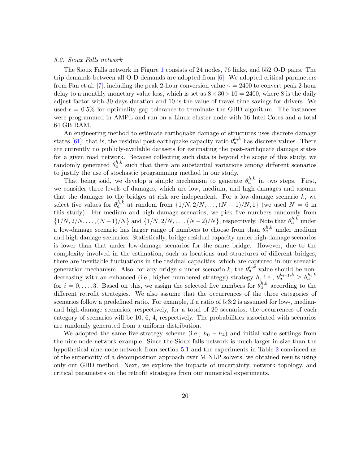#### 5.2. Sioux Falls network

The Sioux Falls network in Figure [1](#page-3-0) consists of 24 nodes, 76 links, and 552 O-D pairs. The trip demands between all O-D demands are adopted from [\[6\]](#page-28-5). We adopted critical parameters from Fan et al. [\[7\]](#page-28-6), including the peak 2-hour conversion value  $\gamma = 2400$  to convert peak 2-hour delay to a monthly monetary value loss, which is set as  $8 \times 30 \times 10 = 2400$ , where 8 is the daily adjust factor with 30 days duration and 10 is the value of travel time savings for drivers. We used  $\epsilon = 0.5\%$  for optimality gap tolerance to terminate the GBD algorithm. The instances were programmed in AMPL and run on a Linux cluster node with 16 Intel Cores and a total 64 GB RAM.

An engineering method to estimate earthquake damage of structures uses discrete damage states [\[61\]](#page-32-8); that is, the residual post-earthquake capacity ratio  $\theta_a^{h,k}$  has discrete values. There are currently no publicly-available datasets for estimating the post-earthquate damage states for a given road network. Because collecting such data is beyond the scope of this study, we randomly generated  $\theta_a^{h,k}$  such that there are substantial variations among different scenarios to justify the use of stochastic programming method in our study.

That being said, we develop a simple mechanism to generate  $\theta_a^{h,k}$  in two steps. First, we consider three levels of damages, which are low, medium, and high damages and assume that the damages to the bridges at risk are independent. For a low-damage scenario  $k$ , we select five values for  $\theta_a^{h,k}$  at random from  $\{1/N, 2/N, \ldots, (N-1)/N, 1\}$  (we used  $N = 6$  in this study). For medium and high damage scenarios, we pick five numbers randomly from  $\{1/N, 2/N, \ldots, (N-1)/N\}$  and  $\{1/N, 2/N, \ldots, (N-2)/N\}$ , respectively. Note that  $\theta_a^{h,k}$  under a low-damage scenario has larger range of numbers to choose from than  $\theta_a^{h,k}$  under medium and high damage scenarios. Statistically, bridge residual capacity under high-damage scenarios is lower than that under low-damage scenarios for the same bridge. However, due to the complexity involved in the estimation, such as locations and structures of different bridges, there are inevitable fluctuations in the residual capacities, which are captured in our scenario generation mechanism. Also, for any bridge a under scenario k, the  $\theta_a^{h,\bar{k}}$  value should be nondecreasing with an enhanced (i.e., higher numbered strategy) strategy h, i.e.,  $\theta_a^{h_{i+1},k} \geq \theta_a^{h_i,k}$ for  $i = 0, \ldots, 3$ . Based on this, we assign the selected five numbers for  $\theta_a^{h,k}$  according to the different retrofit strategies. We also assume that the occurrences of the three categories of scenarios follow a predefined ratio. For example, if a ratio of 5:3:2 is assumed for low-, medianand high-damage scenarios, respectively, for a total of 20 scenarios, the occurrences of each category of scenarios will be 10, 6, 4, respectively. The probabilities associated with scenarios are randomly generated from a uniform distribution.

We adopted the same five-strategy scheme (i.e.,  $h_0 - h_4$ ) and initial value settings from the nine-node network example. Since the Sioux falls network is much larger in size than the hypothetical nine-node network from section [5.1](#page-18-2) and the experiments in Table [2](#page-19-1) convinced us of the superiority of a decomposition approach over MINLP solvers, we obtained results using only our GBD method. Next, we explore the impacts of uncertainty, network topology, and critical parameters on the retrofit strategies from our numerical experiments.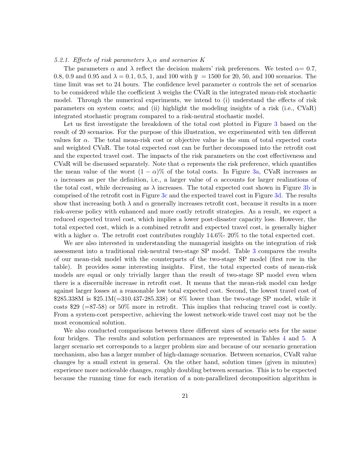#### 5.2.1. Effects of risk parameters  $\lambda$ ,  $\alpha$  and scenarios K

The parameters  $\alpha$  and  $\lambda$  reflect the decision makers' risk preferences. We tested  $\alpha = 0.7$ , 0.8, 0.9 and 0.95 and  $\lambda = 0.1, 0.5, 1,$  and 100 with  $\bar{y} = 1500$  for 20, 50, and 100 scenarios. The time limit was set to 24 hours. The confidence level parameter  $\alpha$  controls the set of scenarios to be considered while the coefficient  $\lambda$  weighs the CVaR in the integrated mean-risk stochastic model. Through the numerical experiments, we intend to (i) understand the effects of risk parameters on system costs; and (ii) highlight the modeling insights of a risk (i.e., CVaR) integrated stochastic program compared to a risk-neutral stochastic model.

Let us first investigate the breakdown of the total cost plotted in Figure [3](#page-22-0) based on the result of 20 scenarios. For the purpose of this illustration, we experimented with ten different values for  $\alpha$ . The total mean-risk cost or objective value is the sum of total expected costs and weighted CVaR. The total expected cost can be further decomposed into the retrofit cost and the expected travel cost. The impacts of the risk parameters on the cost effectiveness and CVaR will be discussed separately. Note that  $\alpha$  represents the risk preference, which quantifies the mean value of the worst  $(1 - \alpha)$ % of the total costs. In Figure [3a,](#page-22-0) CVaR increases as  $\alpha$  increases as per the definition, i.e., a larger value of  $\alpha$  accounts for larger realizations of the total cost, while decreasing as  $\lambda$  increases. The total expected cost shown in Figure [3b](#page-22-0) is comprised of the retrofit cost in Figure [3c](#page-22-0) and the expected travel cost in Figure [3d.](#page-22-0) The results show that increasing both  $\lambda$  and  $\alpha$  generally increases retrofit cost, because it results in a more risk-averse policy with enhanced and more costly retrofit strategies. As a result, we expect a reduced expected travel cost, which implies a lower post-disaster capacity loss. However, the total expected cost, which is a combined retrofit and expected travel cost, is generally higher with a higher  $\alpha$ . The retrofit cost contributes roughly 14.6%- 20% to the total expected cost.

We are also interested in understanding the managerial insights on the integration of risk assessment into a traditional risk-neutral two-stage SP model. Table [3](#page-23-0) compares the results of our mean-risk model with the counterparts of the two-stage SP model (first row in the table). It provides some interesting insights. First, the total expected costs of mean-risk models are equal or only trivially larger than the result of two-stage SP model even when there is a discernible increase in retrofit cost. It means that the mean-risk model can hedge against larger losses at a reasonable low total expected cost. Second, the lowest travel cost of \$285.338M is \$25.1M(=310.437-285.338) or 8% lower than the two-stage SP model, while it costs \$29 ( $=87-58$ ) or 50% more in retrofit. This implies that reducing travel cost is costly. From a system-cost perspective, achieving the lowest network-wide travel cost may not be the most economical solution.

We also conducted comparisons between three different sizes of scenario sets for the same four bridges. The results and solution performances are represented in Tables [4](#page-25-0) and [5.](#page-26-0) A larger scenario set corresponds to a larger problem size and because of our scenario generation mechanism, also has a larger number of high-damage scenarios. Between scenarios, CVaR value changes by a small extent in general. On the other hand, solution times (given in minutes) experience more noticeable changes, roughly doubling between scenarios. This is to be expected because the running time for each iteration of a non-parallelized decomposition algorithm is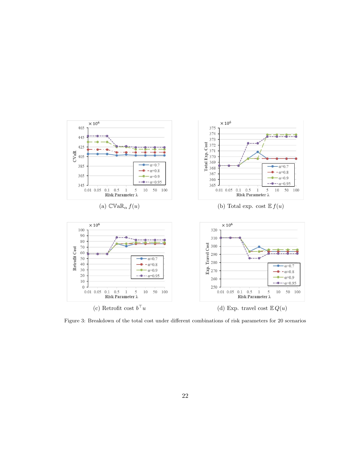<span id="page-22-0"></span>

Figure 3: Breakdown of the total cost under different combinations of risk parameters for 20 scenarios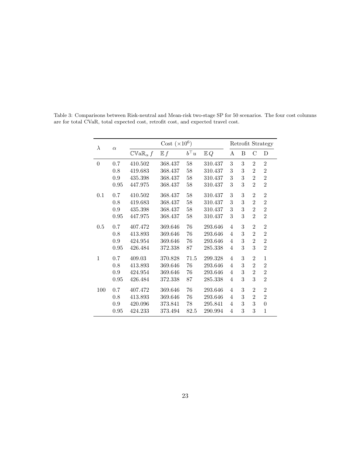| $\lambda$      | $\alpha$   |                   |         | Retrofit Strategy |         |                |              |                |                |
|----------------|------------|-------------------|---------|-------------------|---------|----------------|--------------|----------------|----------------|
|                |            | $CVaR_{\alpha} f$ | E f     | $b^{\top}u$       | EQ      | $\mathbf{A}$   | $\, {\bf B}$ | $\mathcal{C}$  | D              |
| $\overline{0}$ | 0.7        | 410.502           | 368.437 | 58                | 310.437 | 3              | 3            | $\overline{2}$ | $\overline{2}$ |
|                | 0.8        | 419.683           | 368.437 | 58                | 310.437 | 3              | 3            | $\overline{2}$ | $\overline{2}$ |
|                | 0.9        | 435.398           | 368.437 | 58                | 310.437 | 3              | 3            | $\overline{2}$ | $\overline{2}$ |
|                | $\,0.95\,$ | 447.975           | 368.437 | 58                | 310.437 | 3              | 3            | $\overline{2}$ | $\overline{2}$ |
| 0.1            | 0.7        | 410.502           | 368.437 | 58                | 310.437 | 3              | 3            | $\overline{2}$ | $\overline{2}$ |
|                | 0.8        | 419.683           | 368.437 | 58                | 310.437 | 3              | 3            | $\overline{2}$ | $\overline{2}$ |
|                | 0.9        | 435.398           | 368.437 | 58                | 310.437 | 3              | 3            | $\overline{2}$ | $\overline{2}$ |
|                | 0.95       | 447.975           | 368.437 | 58                | 310.437 | 3              | 3            | $\overline{2}$ | $\overline{2}$ |
| 0.5            | 0.7        | 407.472           | 369.646 | 76                | 293.646 | $\overline{4}$ | 3            | $\overline{2}$ | $\overline{2}$ |
|                | 0.8        | 413.893           | 369.646 | 76                | 293.646 | $\overline{4}$ | 3            | $\overline{2}$ | $\overline{2}$ |
|                | 0.9        | 424.954           | 369.646 | 76                | 293.646 | 4              | 3            | $\overline{2}$ | $\overline{2}$ |
|                | 0.95       | 426.484           | 372.338 | 87                | 285.338 | 4              | 3            | 3              | $\overline{2}$ |
| $\mathbf{1}$   | 0.7        | 409.03            | 370.828 | 71.5              | 299.328 | $\overline{4}$ | 3            | $\overline{2}$ | 1              |
|                | 0.8        | 413.893           | 369.646 | 76                | 293.646 | $\overline{4}$ | 3            | $\overline{2}$ | $\overline{2}$ |
|                | 0.9        | 424.954           | 369.646 | 76                | 293.646 | $\overline{4}$ | 3            | $\overline{2}$ | $\overline{2}$ |
|                | 0.95       | 426.484           | 372.338 | 87                | 285.338 | $\overline{4}$ | 3            | 3              | $\overline{2}$ |
| 100            | 0.7        | 407.472           | 369.646 | 76                | 293.646 | 4              | 3            | $\overline{2}$ | $\overline{2}$ |
|                | 0.8        | 413.893           | 369.646 | 76                | 293.646 | 4              | 3            | $\overline{2}$ | $\overline{2}$ |
|                | 0.9        | 420.096           | 373.841 | 78                | 295.841 | 4              | 3            | 3              | $\overline{0}$ |
|                | 0.95       | 424.233           | 373.494 | 82.5              | 290.994 | 4              | 3            | 3              | $\mathbf{1}$   |

<span id="page-23-0"></span>Table 3: Comparisons between Risk-neutral and Mean-risk two-stage SP for 50 scenarios. The four cost columns are for total CVaR, total expected cost, retrofit cost, and expected travel cost.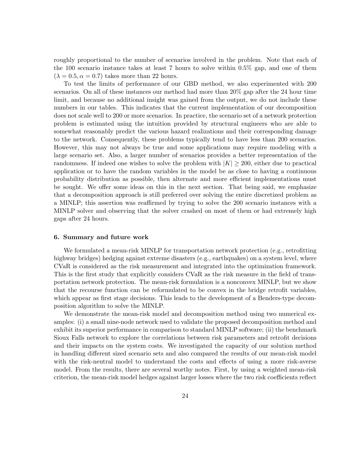roughly proportional to the number of scenarios involved in the problem. Note that each of the 100 scenario instance takes at least 7 hours to solve within 0.5% gap, and one of them  $(\lambda = 0.5, \alpha = 0.7)$  takes more than 22 hours.

To test the limits of performance of our GBD method, we also experimented with 200 scenarios. On all of these instances our method had more than 20% gap after the 24 hour time limit, and because no additional insight was gained from the output, we do not include these numbers in our tables. This indicates that the current implementation of our decomposition does not scale well to 200 or more scenarios. In practice, the scenario set of a network protection problem is estimated using the intuition provided by structural engineers who are able to somewhat reasonably predict the various hazard realizations and their corresponding damage to the network. Consequently, these problems typically tend to have less than 200 scenarios. However, this may not always be true and some applications may require modeling with a large scenario set. Also, a larger number of scenarios provides a better representation of the randomness. If indeed one wishes to solve the problem with  $|K| \geq 200$ , either due to practical application or to have the random variables in the model be as close to having a continuous probability distribution as possible, then alternate and more efficient implementations must be sought. We offer some ideas on this in the next section. That being said, we emphasize that a decomposition approach is still preferred over solving the entire discretized problem as a MINLP; this assertion was reaffirmed by trying to solve the 200 scenario instances with a MINLP solver and observing that the solver crashed on most of them or had extremely high gaps after 24 hours.

#### <span id="page-24-0"></span>6. Summary and future work

We formulated a mean-risk MINLP for transportation network protection (e.g., retrofitting highway bridges) hedging against extreme disasters (e.g., earthquakes) on a system level, where CVaR is considered as the risk measurement and integrated into the optimization framework. This is the first study that explicitly considers CVaR as the risk measure in the field of transportation network protection. The mean-risk formulation is a nonconvex MINLP, but we show that the recourse function can be reformulated to be convex in the bridge retrofit variables, which appear as first stage decisions. This leads to the development of a Benders-type decomposition algorithm to solve the MINLP.

We demonstrate the mean-risk model and decomposition method using two numerical examples: (i) a small nine-node network used to validate the proposed decomposition method and exhibit its superior performance in comparison to standard MINLP software; (ii) the benchmark Sioux Falls network to explore the correlations between risk parameters and retrofit decisions and their impacts on the system costs. We investigated the capacity of our solution method in handling different sized scenario sets and also compared the results of our mean-risk model with the risk-neutral model to understand the costs and effects of using a more risk-averse model. From the results, there are several worthy notes. First, by using a weighted mean-risk criterion, the mean-risk model hedges against larger losses where the two risk coefficients reflect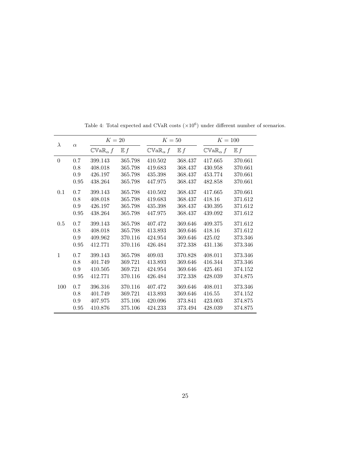<span id="page-25-0"></span>

| $\lambda$      | $\alpha$ | $K=20$            |                | $K=50$            |         | $K = 100$         |         |  |
|----------------|----------|-------------------|----------------|-------------------|---------|-------------------|---------|--|
|                |          | $CVaR_{\alpha} f$ | $\mathbb{E} f$ | $CVaR_{\alpha} f$ | E f     | $CVaR_{\alpha} f$ | E f     |  |
| $\overline{0}$ | 0.7      | 399.143           | 365.798        | 410.502           | 368.437 | 417.665           | 370.661 |  |
|                | 0.8      | 408.018           | 365.798        | 419.683           | 368.437 | 430.958           | 370.661 |  |
|                | 0.9      | 426.197           | 365.798        | 435.398           | 368.437 | 453.774           | 370.661 |  |
|                | 0.95     | 438.264           | 365.798        | 447.975           | 368.437 | 482.858           | 370.661 |  |
| 0.1            | 0.7      | 399.143           | 365.798        | 410.502           | 368.437 | 417.665           | 370.661 |  |
|                | 0.8      | 408.018           | 365.798        | 419.683           | 368.437 | 418.16            | 371.612 |  |
|                | 0.9      | 426.197           | 365.798        | 435.398           | 368.437 | 430.395           | 371.612 |  |
|                | 0.95     | 438.264           | 365.798        | 447.975           | 368.437 | 439.092           | 371.612 |  |
| 0.5            | 0.7      | 399.143           | 365.798        | 407.472           | 369.646 | 409.375           | 371.612 |  |
|                | 0.8      | 408.018           | 365.798        | 413.893           | 369.646 | 418.16            | 371.612 |  |
|                | 0.9      | 409.962           | 370.116        | 424.954           | 369.646 | 425.02            | 373.346 |  |
|                | 0.95     | 412.771           | 370.116        | 426.484           | 372.338 | 431.136           | 373.346 |  |
| $\mathbf{1}$   | 0.7      | 399.143           | 365.798        | 409.03            | 370.828 | 408.011           | 373.346 |  |
|                | 0.8      | 401.749           | 369.721        | 413.893           | 369.646 | 416.344           | 373.346 |  |
|                | 0.9      | 410.505           | 369.721        | 424.954           | 369.646 | 425.461           | 374.152 |  |
|                | 0.95     | 412.771           | 370.116        | 426.484           | 372.338 | 428.039           | 374.875 |  |
| 100            | 0.7      | 396.316           | 370.116        | 407.472           | 369.646 | 408.011           | 373.346 |  |
|                | 0.8      | 401.749           | 369.721        | 413.893           | 369.646 | 416.55            | 374.152 |  |
|                | 0.9      | 407.975           | 375.106        | 420.096           | 373.841 | 423.003           | 374.875 |  |
|                | 0.95     | 410.876           | 375.106        | 424.233           | 373.494 | 428.039           | 374.875 |  |

Table 4: Total expected and CVaR costs  $(\times 10^6)$  under different number of scenarios.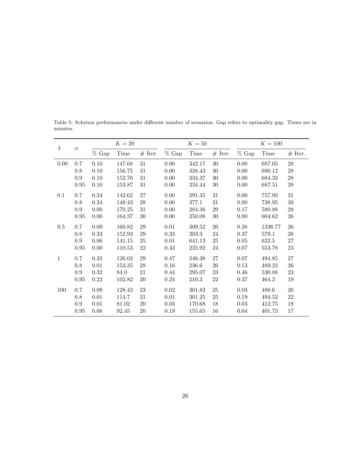| $\lambda$ | $\alpha$   | $K=20$   |        |           | $K=50$   |        |           | $K = 100$ |         |                                |
|-----------|------------|----------|--------|-----------|----------|--------|-----------|-----------|---------|--------------------------------|
|           |            | $%$ Gap  | Time   | $#$ Iter. | $%$ Gap  | Time   | $#$ Iter. | $%$ Gap   | Time    | $#$ Iter.                      |
| 0.00      | 0.7        | 0.10     | 147.68 | 31        | 0.00     | 342.17 | $30\,$    | 0.00      | 687.05  | 28                             |
|           | 0.8        | 0.10     | 156.75 | 31        | 0.00     | 338.43 | 30        | 0.00      | 690.12  | $\ensuremath{\mathnormal{28}}$ |
|           | 0.9        | 0.10     | 152.76 | 31        | 0.00     | 334.37 | $30\,$    | 0.00      | 684.33  | $\ensuremath{\mathnormal{28}}$ |
|           | $0.95\,$   | 0.10     | 153.87 | $31\,$    | 0.00     | 334.44 | $30\,$    | 0.00      | 687.51  | $\sqrt{28}$                    |
| 0.1       | 0.7        | 0.34     | 142.62 | 27        | 0.00     | 291.35 | 31        | 0.00      | 757.93  | $31\,$                         |
|           | 0.8        | 0.34     | 148.43 | 28        | 0.00     | 377.1  | 31        | 0.00      | 738.95  | $30\,$                         |
|           | 0.9        | 0.00     | 170.25 | 31        | 0.00     | 284.38 | 29        | 0.17      | 580.88  | $\ensuremath{\mathnormal{28}}$ |
|           | 0.95       | 0.00     | 164.37 | $30\,$    | 0.00     | 350.08 | 30        | 0.00      | 604.62  | $26\,$                         |
| 0.5       | 0.7        | $0.09\,$ | 160.82 | 29        | 0.01     | 309.52 | 26        | 0.38      | 1336.77 | 26                             |
|           | 0.8        | 0.33     | 152.93 | $29\,$    | 0.33     | 303.3  | 24        | 0.37      | 579.1   | ${\bf 26}$                     |
|           | 0.9        | 0.06     | 141.15 | 25        | 0.01     | 641.13 | 25        | 0.05      | 632.5   | $27\,$                         |
|           | 0.95       | 0.00     | 110.53 | 22        | 0.43     | 225.92 | 24        | 0.07      | 553.78  | $23\,$                         |
| 1         | 0.7        | 0.32     | 126.02 | 29        | 0.47     | 246.38 | $27\,$    | 0.07      | 494.85  | 27                             |
|           | 0.8        | 0.01     | 153.35 | $28\,$    | 0.16     | 236.6  | 26        | 0.13      | 489.22  | 26                             |
|           | 0.9        | 0.32     | 84.0   | 21        | 0.44     | 295.07 | 23        | 0.46      | 530.88  | $23\,$                         |
|           | 0.95       | 0.22     | 102.82 | $20\,$    | 0.24     | 210.3  | 22        | 0.37      | 464.2   | 19                             |
| 100       | 0.7        | 0.09     | 128.43 | 23        | 0.02     | 301.83 | 25        | 0.03      | 488.6   | 26                             |
|           | 0.8        | 0.01     | 114.7  | 21        | 0.01     | 301.25 | 25        | 0.19      | 494.52  | 22                             |
|           | $\rm 0.9$  | $0.01\,$ | 81.02  | $20\,$    | $0.03\,$ | 170.68 | 18        | 0.03      | 412.75  | 18                             |
|           | $\rm 0.95$ | 0.66     | 92.45  | 20        | 0.19     | 155.65 | 16        | 0.04      | 401.73  | 17                             |

<span id="page-26-0"></span>Table 5: Solution performances under different number of scenarios. Gap refers to optimality gap. Times are in minutes.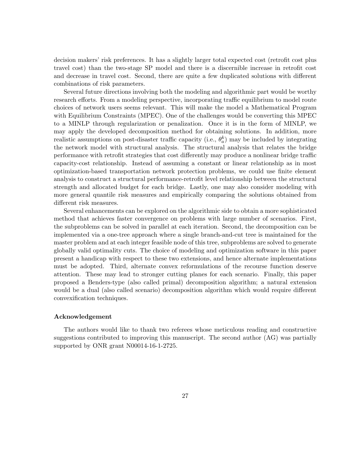decision makers' risk preferences. It has a slightly larger total expected cost (retrofit cost plus travel cost) than the two-stage SP model and there is a discernible increase in retrofit cost and decrease in travel cost. Second, there are quite a few duplicated solutions with different combinations of risk parameters.

Several future directions involving both the modeling and algorithmic part would be worthy research efforts. From a modeling perspective, incorporating traffic equilibrium to model route choices of network users seems relevant. This will make the model a Mathematical Program with Equilibrium Constraints (MPEC). One of the challenges would be converting this MPEC to a MINLP through regularization or penalization. Once it is in the form of MINLP, we may apply the developed decomposition method for obtaining solutions. In addition, more realistic assumptions on post-disaster traffic capacity (i.e.,  $\theta_a^k$ ) may be included by integrating the network model with structural analysis. The structural analysis that relates the bridge performance with retrofit strategies that cost differently may produce a nonlinear bridge traffic capacity-cost relationship. Instead of assuming a constant or linear relationship as in most optimization-based transportation network protection problems, we could use finite element analysis to construct a structural performance-retrofit level relationship between the structural strength and allocated budget for each bridge. Lastly, one may also consider modeling with more general quantile risk measures and empirically comparing the solutions obtained from different risk measures.

Several enhancements can be explored on the algorithmic side to obtain a more sophisticated method that achieves faster convergence on problems with large number of scenarios. First, the subproblems can be solved in parallel at each iteration. Second, the decomposition can be implemented via a one-tree approach where a single branch-and-cut tree is maintained for the master problem and at each integer feasible node of this tree, subproblems are solved to generate globally valid optimality cuts. The choice of modeling and optimization software in this paper present a handicap with respect to these two extensions, and hence alternate implementations must be adopted. Third, alternate convex reformulations of the recourse function deserve attention. These may lead to stronger cutting planes for each scenario. Finally, this paper proposed a Benders-type (also called primal) decomposition algorithm; a natural extension would be a dual (also called scenario) decomposition algorithm which would require different convexification techniques.

#### Acknowledgement

The authors would like to thank two referees whose meticulous reading and constructive suggestions contributed to improving this manuscript. The second author (AG) was partially supported by ONR grant N00014-16-1-2725.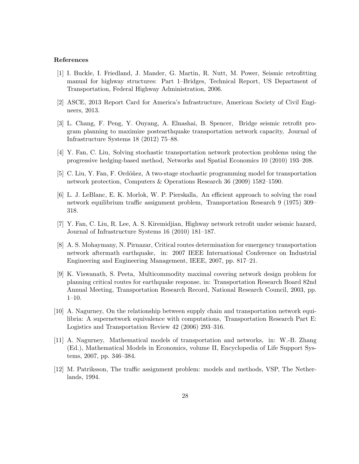#### References

- <span id="page-28-0"></span>[1] I. Buckle, I. Friedland, J. Mander, G. Martin, R. Nutt, M. Power, Seismic retrofitting manual for highway structures: Part 1–Bridges, Technical Report, US Department of Transportation, Federal Highway Administration, 2006.
- <span id="page-28-1"></span>[2] ASCE, 2013 Report Card for America's Infrastructure, American Society of Civil Engineers, 2013.
- <span id="page-28-2"></span>[3] L. Chang, F. Peng, Y. Ouyang, A. Elnashai, B. Spencer, Bridge seismic retrofit program planning to maximize postearthquake transportation network capacity, Journal of Infrastructure Systems 18 (2012) 75–88.
- <span id="page-28-3"></span>[4] Y. Fan, C. Liu, Solving stochastic transportation network protection problems using the progressive hedging-based method, Networks and Spatial Economics 10 (2010) 193–208.
- <span id="page-28-4"></span>[5] C. Liu, Y. Fan, F. Ordóñez, A two-stage stochastic programming model for transportation network protection, Computers & Operations Research 36 (2009) 1582–1590.
- <span id="page-28-5"></span>[6] L. J. LeBlanc, E. K. Morlok, W. P. Pierskalla, An efficient approach to solving the road network equilibrium traffic assignment problem, Transportation Research 9 (1975) 309– 318.
- <span id="page-28-6"></span>[7] Y. Fan, C. Liu, R. Lee, A. S. Kiremidjian, Highway network retrofit under seismic hazard, Journal of Infrastructure Systems 16 (2010) 181–187.
- <span id="page-28-7"></span>[8] A. S. Mohaymany, N. Pirnazar, Critical routes determination for emergency transportation network aftermath earthquake, in: 2007 IEEE International Conference on Industrial Engineering and Engineering Management, IEEE, 2007, pp. 817–21.
- <span id="page-28-8"></span>[9] K. Viswanath, S. Peeta, Multicommodity maximal covering network design problem for planning critical routes for earthquake response, in: Transportation Research Board 82nd Annual Meeting, Transportation Research Record, National Research Council, 2003, pp. 1–10.
- <span id="page-28-9"></span>[10] A. Nagurney, On the relationship between supply chain and transportation network equilibria: A supernetwork equivalence with computations, Transportation Research Part E: Logistics and Transportation Review 42 (2006) 293–316.
- <span id="page-28-10"></span>[11] A. Nagurney, Mathematical models of transportation and networks, in: W.-B. Zhang (Ed.), Mathematical Models in Economics, volume II, Encyclopedia of Life Support Systems, 2007, pp. 346–384.
- <span id="page-28-11"></span>[12] M. Patriksson, The traffic assignment problem: models and methods, VSP, The Netherlands, 1994.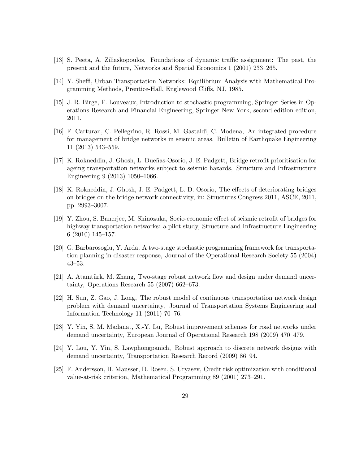- <span id="page-29-0"></span>[13] S. Peeta, A. Ziliaskopoulos, Foundations of dynamic traffic assignment: The past, the present and the future, Networks and Spatial Economics 1 (2001) 233–265.
- <span id="page-29-1"></span>[14] Y. Sheffi, Urban Transportation Networks: Equilibrium Analysis with Mathematical Programming Methods, Prentice-Hall, Englewood Cliffs, NJ, 1985.
- <span id="page-29-2"></span>[15] J. R. Birge, F. Louveaux, Introduction to stochastic programming, Springer Series in Operations Research and Financial Engineering, Springer New York, second edition edition, 2011.
- <span id="page-29-3"></span>[16] F. Carturan, C. Pellegrino, R. Rossi, M. Gastaldi, C. Modena, An integrated procedure for management of bridge networks in seismic areas, Bulletin of Earthquake Engineering 11 (2013) 543–559.
- <span id="page-29-4"></span>[17] K. Rokneddin, J. Ghosh, L. Dueñas-Osorio, J. E. Padgett, Bridge retrofit prioritisation for ageing transportation networks subject to seismic hazards, Structure and Infrastructure Engineering 9 (2013) 1050–1066.
- <span id="page-29-5"></span>[18] K. Rokneddin, J. Ghosh, J. E. Padgett, L. D. Osorio, The effects of deteriorating bridges on bridges on the bridge network connectivity, in: Structures Congress 2011, ASCE, 2011, pp. 2993–3007.
- <span id="page-29-6"></span>[19] Y. Zhou, S. Banerjee, M. Shinozuka, Socio-economic effect of seismic retrofit of bridges for highway transportation networks: a pilot study, Structure and Infrastructure Engineering 6 (2010) 145–157.
- <span id="page-29-7"></span>[20] G. Barbarosoglu, Y. Arda, A two-stage stochastic programming framework for transportation planning in disaster response, Journal of the Operational Research Society 55 (2004) 43–53.
- <span id="page-29-8"></span>[21] A. Atamtürk, M. Zhang, Two-stage robust network flow and design under demand uncertainty, Operations Research 55 (2007) 662–673.
- <span id="page-29-9"></span>[22] H. Sun, Z. Gao, J. Long, The robust model of continuous transportation network design problem with demand uncertainty, Journal of Transportation Systems Engineering and Information Technology 11 (2011) 70–76.
- <span id="page-29-10"></span>[23] Y. Yin, S. M. Madanat, X.-Y. Lu, Robust improvement schemes for road networks under demand uncertainty, European Journal of Operational Research 198 (2009) 470–479.
- <span id="page-29-11"></span>[24] Y. Lou, Y. Yin, S. Lawphongpanich, Robust approach to discrete network designs with demand uncertainty, Transportation Research Record (2009) 86–94.
- <span id="page-29-12"></span>[25] F. Andersson, H. Mausser, D. Rosen, S. Uryasev, Credit risk optimization with conditional value-at-risk criterion, Mathematical Programming 89 (2001) 273–291.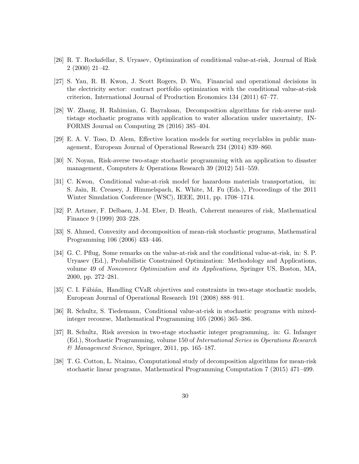- <span id="page-30-0"></span>[26] R. T. Rockafellar, S. Uryasev, Optimization of conditional value-at-risk, Journal of Risk 2 (2000) 21–42.
- <span id="page-30-1"></span>[27] S. Yau, R. H. Kwon, J. Scott Rogers, D. Wu, Financial and operational decisions in the electricity sector: contract portfolio optimization with the conditional value-at-risk criterion, International Journal of Production Economics 134 (2011) 67–77.
- <span id="page-30-2"></span>[28] W. Zhang, H. Rahimian, G. Bayraksan, Decomposition algorithms for risk-averse multistage stochastic programs with application to water allocation under uncertainty, IN-FORMS Journal on Computing 28 (2016) 385–404.
- <span id="page-30-3"></span>[29] E. A. V. Toso, D. Alem, Effective location models for sorting recyclables in public management, European Journal of Operational Research 234 (2014) 839–860.
- <span id="page-30-4"></span>[30] N. Noyan, Risk-averse two-stage stochastic programming with an application to disaster management, Computers & Operations Research 39 (2012) 541–559.
- <span id="page-30-5"></span>[31] C. Kwon, Conditional value-at-risk model for hazardous materials transportation, in: S. Jain, R. Creasey, J. Himmelspach, K. White, M. Fu (Eds.), Proceedings of the 2011 Winter Simulation Conference (WSC), IEEE, 2011, pp. 1708–1714.
- <span id="page-30-6"></span>[32] P. Artzner, F. Delbaen, J.-M. Eber, D. Heath, Coherent measures of risk, Mathematical Finance 9 (1999) 203–228.
- <span id="page-30-7"></span>[33] S. Ahmed, Convexity and decomposition of mean-risk stochastic programs, Mathematical Programming 106 (2006) 433–446.
- <span id="page-30-8"></span>[34] G. C. Pflug, Some remarks on the value-at-risk and the conditional value-at-risk, in: S. P. Uryasev (Ed.), Probabilistic Constrained Optimization: Methodology and Applications, volume 49 of Nonconvex Optimization and its Applications, Springer US, Boston, MA, 2000, pp. 272–281.
- <span id="page-30-9"></span>[35] C. I. Fábián, Handling CVaR objectives and constraints in two-stage stochastic models, European Journal of Operational Research 191 (2008) 888–911.
- <span id="page-30-10"></span>[36] R. Schultz, S. Tiedemann, Conditional value-at-risk in stochastic programs with mixedinteger recourse, Mathematical Programming 105 (2006) 365–386.
- <span id="page-30-11"></span>[37] R. Schultz, Risk aversion in two-stage stochastic integer programming, in: G. Infanger (Ed.), Stochastic Programming, volume 150 of International Series in Operations Research & Management Science, Springer, 2011, pp. 165–187.
- <span id="page-30-12"></span>[38] T. G. Cotton, L. Ntaimo, Computational study of decomposition algorithms for mean-risk stochastic linear programs, Mathematical Programming Computation 7 (2015) 471–499.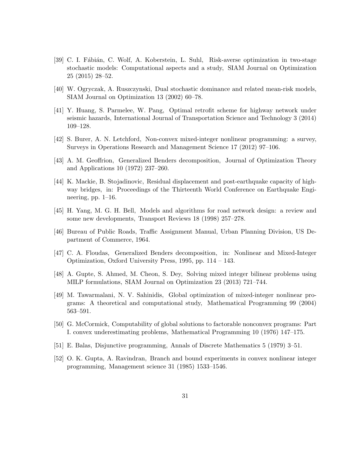- <span id="page-31-0"></span>[39] C. I. Fábián, C. Wolf, A. Koberstein, L. Suhl, Risk-averse optimization in two-stage stochastic models: Computational aspects and a study, SIAM Journal on Optimization 25 (2015) 28–52.
- <span id="page-31-1"></span>[40] W. Ogryczak, A. Ruszczynski, Dual stochastic dominance and related mean-risk models, SIAM Journal on Optimization 13 (2002) 60–78.
- <span id="page-31-2"></span>[41] Y. Huang, S. Parmelee, W. Pang, Optimal retrofit scheme for highway network under seismic hazards, International Journal of Transportation Science and Technology 3 (2014) 109–128.
- <span id="page-31-3"></span>[42] S. Burer, A. N. Letchford, Non-convex mixed-integer nonlinear programming: a survey, Surveys in Operations Research and Management Science 17 (2012) 97–106.
- <span id="page-31-4"></span>[43] A. M. Geoffrion, Generalized Benders decomposition, Journal of Optimization Theory and Applications 10 (1972) 237–260.
- <span id="page-31-5"></span>[44] K. Mackie, B. Stojadinovic, Residual displacement and post-earthquake capacity of highway bridges, in: Proceedings of the Thirteenth World Conference on Earthquake Engineering, pp.  $1-16$ .
- <span id="page-31-6"></span>[45] H. Yang, M. G. H. Bell, Models and algorithms for road network design: a review and some new developments, Transport Reviews 18 (1998) 257–278.
- <span id="page-31-7"></span>[46] Bureau of Public Roads, Traffic Assignment Manual, Urban Planning Division, US Department of Commerce, 1964.
- <span id="page-31-8"></span>[47] C. A. Floudas, Generalized Benders decomposition, in: Nonlinear and Mixed-Integer Optimization, Oxford University Press, 1995, pp. 114 – 143.
- <span id="page-31-9"></span>[48] A. Gupte, S. Ahmed, M. Cheon, S. Dey, Solving mixed integer bilinear problems using MILP formulations, SIAM Journal on Optimization 23 (2013) 721–744.
- <span id="page-31-10"></span>[49] M. Tawarmalani, N. V. Sahinidis, Global optimization of mixed-integer nonlinear programs: A theoretical and computational study, Mathematical Programming 99 (2004) 563–591.
- <span id="page-31-11"></span>[50] G. McCormick, Computability of global solutions to factorable nonconvex programs: Part I. convex underestimating problems, Mathematical Programming 10 (1976) 147–175.
- <span id="page-31-12"></span>[51] E. Balas, Disjunctive programming, Annals of Discrete Mathematics 5 (1979) 3–51.
- <span id="page-31-13"></span>[52] O. K. Gupta, A. Ravindran, Branch and bound experiments in convex nonlinear integer programming, Management science 31 (1985) 1533–1546.